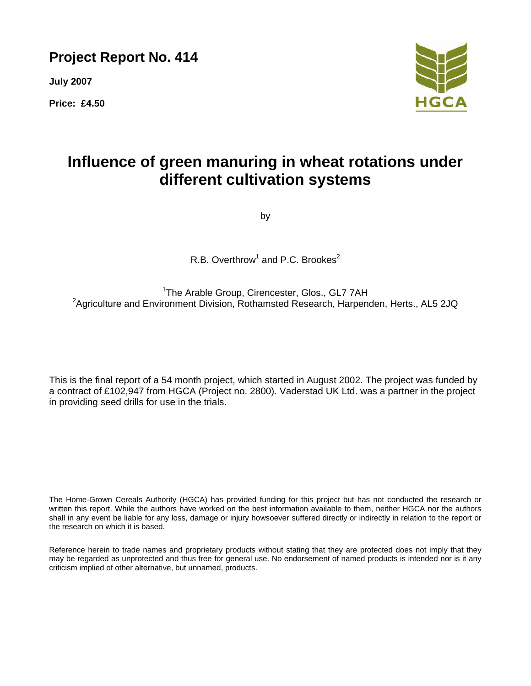**Project Report No. 414** 

**July 2007** 

**Price: £4.50** 



# **Influence of green manuring in wheat rotations under different cultivation systems**

by

R.B. Overthrow<sup>1</sup> and P.C. Brookes<sup>2</sup>

<sup>1</sup>The Arable Group, Cirencester, Glos., GL7 7AH <sup>2</sup>Agriculture and Environment Division, Rothamsted Research, Harpenden, Herts., AL5 2JQ

This is the final report of a 54 month project, which started in August 2002. The project was funded by a contract of £102,947 from HGCA (Project no. 2800). Vaderstad UK Ltd. was a partner in the project in providing seed drills for use in the trials.

The Home-Grown Cereals Authority (HGCA) has provided funding for this project but has not conducted the research or written this report. While the authors have worked on the best information available to them, neither HGCA nor the authors shall in any event be liable for any loss, damage or injury howsoever suffered directly or indirectly in relation to the report or the research on which it is based.

Reference herein to trade names and proprietary products without stating that they are protected does not imply that they may be regarded as unprotected and thus free for general use. No endorsement of named products is intended nor is it any criticism implied of other alternative, but unnamed, products.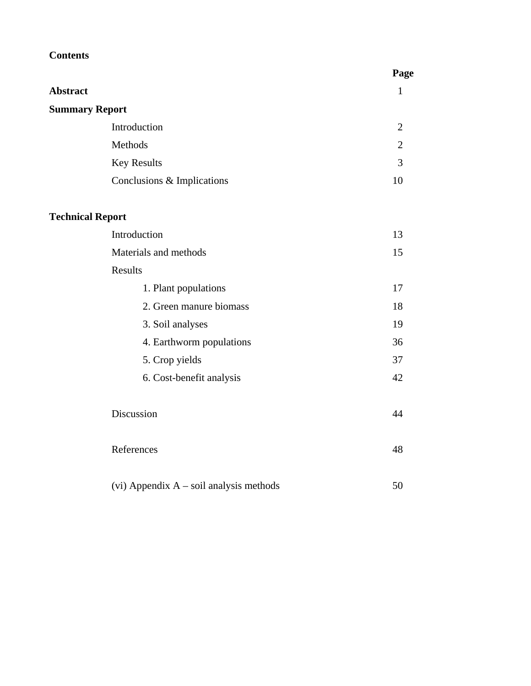## **Contents**

|                         |                                           | Page           |
|-------------------------|-------------------------------------------|----------------|
| <b>Abstract</b>         |                                           | $\mathbf{1}$   |
| <b>Summary Report</b>   |                                           |                |
|                         | Introduction                              | 2              |
|                         | Methods                                   | $\overline{2}$ |
|                         | <b>Key Results</b>                        | $\overline{3}$ |
|                         | Conclusions & Implications                | 10             |
| <b>Technical Report</b> |                                           |                |
|                         | Introduction                              | 13             |
|                         | Materials and methods                     | 15             |
|                         | Results                                   |                |
|                         | 1. Plant populations                      | 17             |
|                         | 2. Green manure biomass                   | 18             |
|                         | 3. Soil analyses                          | 19             |
|                         | 4. Earthworm populations                  | 36             |
|                         | 5. Crop yields                            | 37             |
|                         | 6. Cost-benefit analysis                  | 42             |
|                         | Discussion                                | 44             |
|                         | References                                | 48             |
|                         | (vi) Appendix $A$ – soil analysis methods | 50             |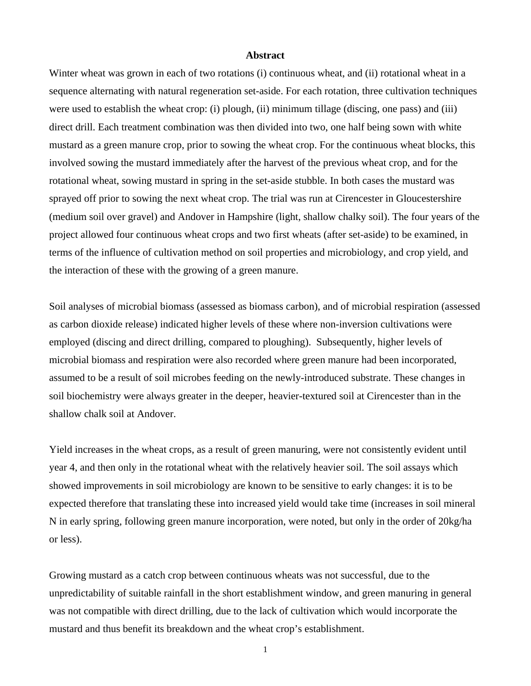#### **Abstract**

Winter wheat was grown in each of two rotations (i) continuous wheat, and (ii) rotational wheat in a sequence alternating with natural regeneration set-aside. For each rotation, three cultivation techniques were used to establish the wheat crop: (i) plough, (ii) minimum tillage (discing, one pass) and (iii) direct drill. Each treatment combination was then divided into two, one half being sown with white mustard as a green manure crop, prior to sowing the wheat crop. For the continuous wheat blocks, this involved sowing the mustard immediately after the harvest of the previous wheat crop, and for the rotational wheat, sowing mustard in spring in the set-aside stubble. In both cases the mustard was sprayed off prior to sowing the next wheat crop. The trial was run at Cirencester in Gloucestershire (medium soil over gravel) and Andover in Hampshire (light, shallow chalky soil). The four years of the project allowed four continuous wheat crops and two first wheats (after set-aside) to be examined, in terms of the influence of cultivation method on soil properties and microbiology, and crop yield, and the interaction of these with the growing of a green manure.

Soil analyses of microbial biomass (assessed as biomass carbon), and of microbial respiration (assessed as carbon dioxide release) indicated higher levels of these where non-inversion cultivations were employed (discing and direct drilling, compared to ploughing). Subsequently, higher levels of microbial biomass and respiration were also recorded where green manure had been incorporated, assumed to be a result of soil microbes feeding on the newly-introduced substrate. These changes in soil biochemistry were always greater in the deeper, heavier-textured soil at Cirencester than in the shallow chalk soil at Andover.

Yield increases in the wheat crops, as a result of green manuring, were not consistently evident until year 4, and then only in the rotational wheat with the relatively heavier soil. The soil assays which showed improvements in soil microbiology are known to be sensitive to early changes: it is to be expected therefore that translating these into increased yield would take time (increases in soil mineral N in early spring, following green manure incorporation, were noted, but only in the order of 20kg/ha or less).

Growing mustard as a catch crop between continuous wheats was not successful, due to the unpredictability of suitable rainfall in the short establishment window, and green manuring in general was not compatible with direct drilling, due to the lack of cultivation which would incorporate the mustard and thus benefit its breakdown and the wheat crop's establishment.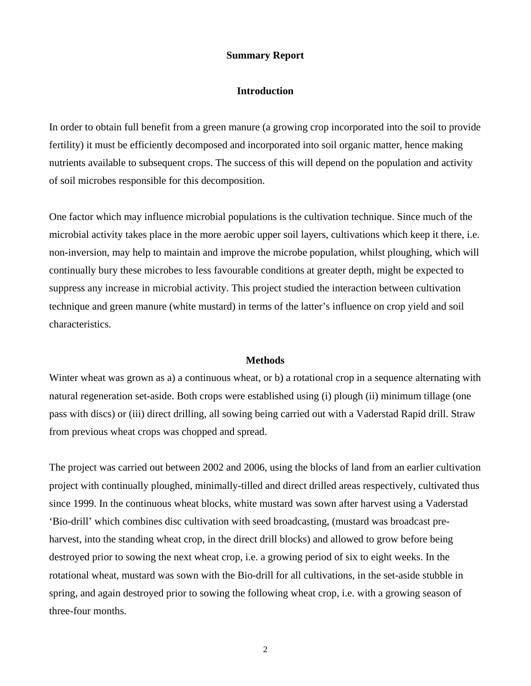#### **Summary Report**

### **Introduction**

In order to obtain full benefit from a green manure (a growing crop incorporated into the soil to provide fertility) it must be efficiently decomposed and incorporated into soil organic matter, hence making nutrients available to subsequent crops. The success of this will depend on the population and activity of soil microbes responsible for this decomposition.

One factor which may influence microbial populations is the cultivation technique. Since much of the microbial activity takes place in the more aerobic upper soil layers, cultivations which keep it there, i.e. non-inversion, may help to maintain and improve the microbe population, whilst ploughing, which will continually bury these microbes to less favourable conditions at greater depth, might be expected to suppress any increase in microbial activity. This project studied the interaction between cultivation technique and green manure (white mustard) in terms of the latter's influence on crop yield and soil characteristics.

#### **Methods**

Winter wheat was grown as a) a continuous wheat, or b) a rotational crop in a sequence alternating with natural regeneration set-aside. Both crops were established using (i) plough (ii) minimum tillage (one pass with discs) or (iii) direct drilling, all sowing being carried out with a Vaderstad Rapid drill. Straw from previous wheat crops was chopped and spread.

The project was carried out between 2002 and 2006, using the blocks of land from an earlier cultivation project with continually ploughed, minimally-tilled and direct drilled areas respectively, cultivated thus since 1999. In the continuous wheat blocks, white mustard was sown after harvest using a Vaderstad 'Bio-drill' which combines disc cultivation with seed broadcasting, (mustard was broadcast preharvest, into the standing wheat crop, in the direct drill blocks) and allowed to grow before being destroyed prior to sowing the next wheat crop, i.e. a growing period of six to eight weeks. In the rotational wheat, mustard was sown with the Bio-drill for all cultivations, in the set-aside stubble in spring, and again destroyed prior to sowing the following wheat crop, i.e. with a growing season of three-four months.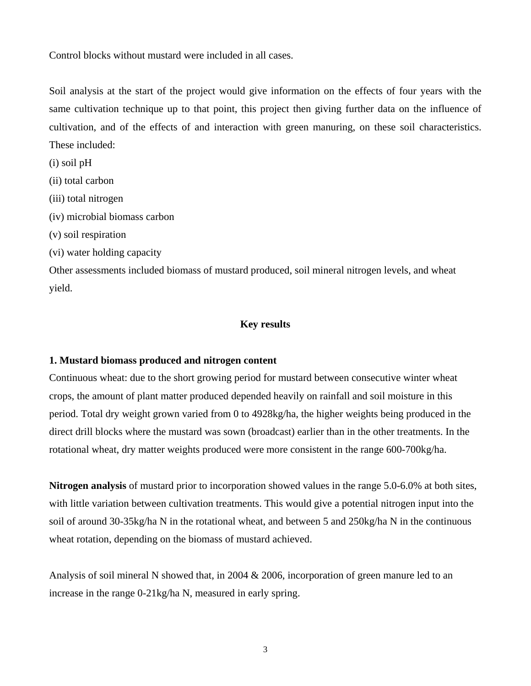Control blocks without mustard were included in all cases.

Soil analysis at the start of the project would give information on the effects of four years with the same cultivation technique up to that point, this project then giving further data on the influence of cultivation, and of the effects of and interaction with green manuring, on these soil characteristics. These included:

(i) soil pH

- (ii) total carbon
- (iii) total nitrogen
- (iv) microbial biomass carbon
- (v) soil respiration
- (vi) water holding capacity

Other assessments included biomass of mustard produced, soil mineral nitrogen levels, and wheat yield.

## **Key results**

### **1. Mustard biomass produced and nitrogen content**

Continuous wheat: due to the short growing period for mustard between consecutive winter wheat crops, the amount of plant matter produced depended heavily on rainfall and soil moisture in this period. Total dry weight grown varied from 0 to 4928kg/ha, the higher weights being produced in the direct drill blocks where the mustard was sown (broadcast) earlier than in the other treatments. In the rotational wheat, dry matter weights produced were more consistent in the range 600-700kg/ha.

**Nitrogen analysis** of mustard prior to incorporation showed values in the range 5.0-6.0% at both sites, with little variation between cultivation treatments. This would give a potential nitrogen input into the soil of around 30-35kg/ha N in the rotational wheat, and between 5 and 250kg/ha N in the continuous wheat rotation, depending on the biomass of mustard achieved.

Analysis of soil mineral N showed that, in 2004 & 2006, incorporation of green manure led to an increase in the range 0-21kg/ha N, measured in early spring.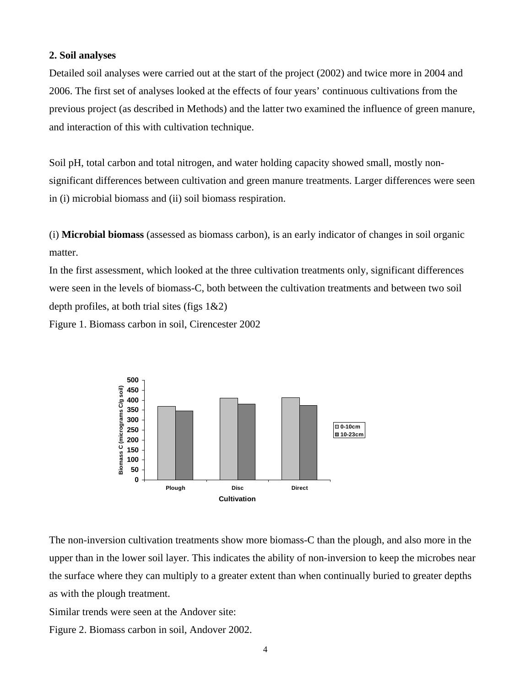### **2. Soil analyses**

Detailed soil analyses were carried out at the start of the project (2002) and twice more in 2004 and 2006. The first set of analyses looked at the effects of four years' continuous cultivations from the previous project (as described in Methods) and the latter two examined the influence of green manure, and interaction of this with cultivation technique.

Soil pH, total carbon and total nitrogen, and water holding capacity showed small, mostly nonsignificant differences between cultivation and green manure treatments. Larger differences were seen in (i) microbial biomass and (ii) soil biomass respiration.

(i) **Microbial biomass** (assessed as biomass carbon), is an early indicator of changes in soil organic matter.

In the first assessment, which looked at the three cultivation treatments only, significant differences were seen in the levels of biomass-C, both between the cultivation treatments and between two soil depth profiles, at both trial sites (figs  $1&&2$ )

Figure 1. Biomass carbon in soil, Cirencester 2002



The non-inversion cultivation treatments show more biomass-C than the plough, and also more in the upper than in the lower soil layer. This indicates the ability of non-inversion to keep the microbes near the surface where they can multiply to a greater extent than when continually buried to greater depths as with the plough treatment.

Similar trends were seen at the Andover site:

Figure 2. Biomass carbon in soil, Andover 2002.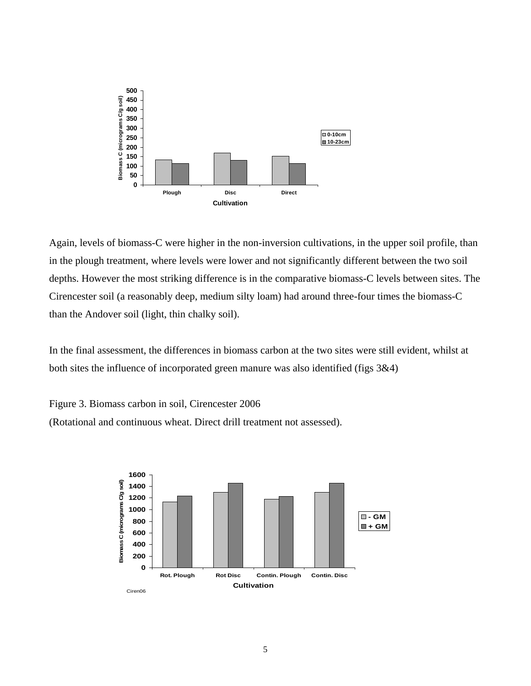

Again, levels of biomass-C were higher in the non-inversion cultivations, in the upper soil profile, than in the plough treatment, where levels were lower and not significantly different between the two soil depths. However the most striking difference is in the comparative biomass-C levels between sites. The Cirencester soil (a reasonably deep, medium silty loam) had around three-four times the biomass-C than the Andover soil (light, thin chalky soil).

In the final assessment, the differences in biomass carbon at the two sites were still evident, whilst at both sites the influence of incorporated green manure was also identified (figs 3&4)

Figure 3. Biomass carbon in soil, Cirencester 2006 (Rotational and continuous wheat. Direct drill treatment not assessed).

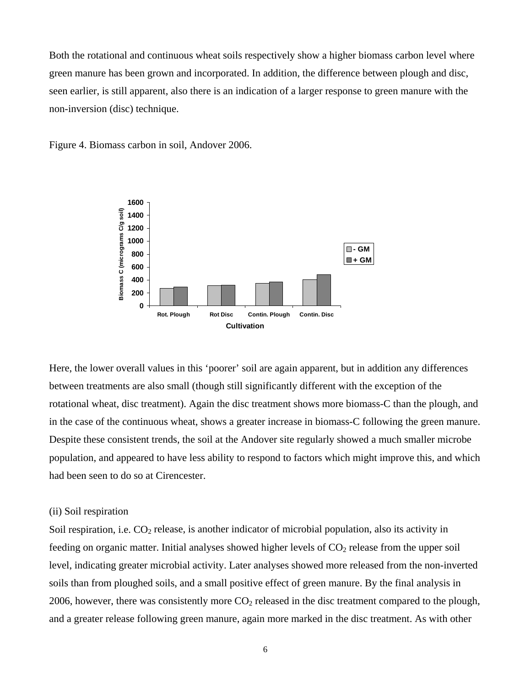Both the rotational and continuous wheat soils respectively show a higher biomass carbon level where green manure has been grown and incorporated. In addition, the difference between plough and disc, seen earlier, is still apparent, also there is an indication of a larger response to green manure with the non-inversion (disc) technique.



Figure 4. Biomass carbon in soil, Andover 2006.

Here, the lower overall values in this 'poorer' soil are again apparent, but in addition any differences between treatments are also small (though still significantly different with the exception of the rotational wheat, disc treatment). Again the disc treatment shows more biomass-C than the plough, and in the case of the continuous wheat, shows a greater increase in biomass-C following the green manure. Despite these consistent trends, the soil at the Andover site regularly showed a much smaller microbe population, and appeared to have less ability to respond to factors which might improve this, and which had been seen to do so at Cirencester.

#### (ii) Soil respiration

Soil respiration, i.e.  $CO<sub>2</sub>$  release, is another indicator of microbial population, also its activity in feeding on organic matter. Initial analyses showed higher levels of  $CO<sub>2</sub>$  release from the upper soil level, indicating greater microbial activity. Later analyses showed more released from the non-inverted soils than from ploughed soils, and a small positive effect of green manure. By the final analysis in 2006, however, there was consistently more  $CO<sub>2</sub>$  released in the disc treatment compared to the plough, and a greater release following green manure, again more marked in the disc treatment. As with other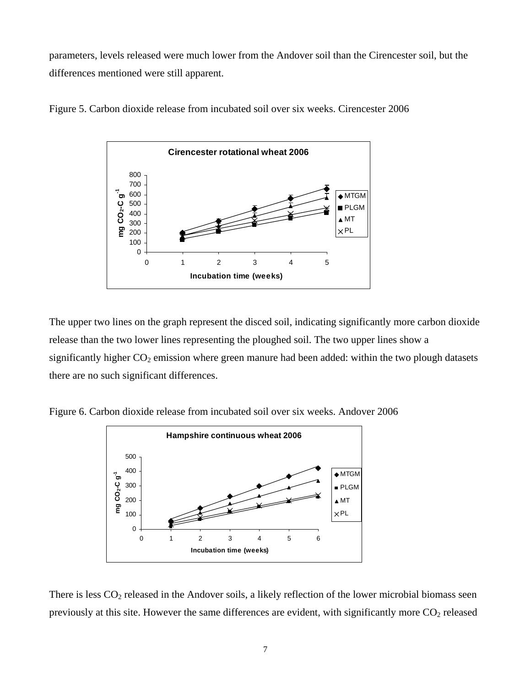parameters, levels released were much lower from the Andover soil than the Cirencester soil, but the differences mentioned were still apparent.





The upper two lines on the graph represent the disced soil, indicating significantly more carbon dioxide release than the two lower lines representing the ploughed soil. The two upper lines show a significantly higher  $CO<sub>2</sub>$  emission where green manure had been added: within the two plough datasets there are no such significant differences.

Figure 6. Carbon dioxide release from incubated soil over six weeks. Andover 2006



There is less  $CO<sub>2</sub>$  released in the Andover soils, a likely reflection of the lower microbial biomass seen previously at this site. However the same differences are evident, with significantly more  $CO<sub>2</sub>$  released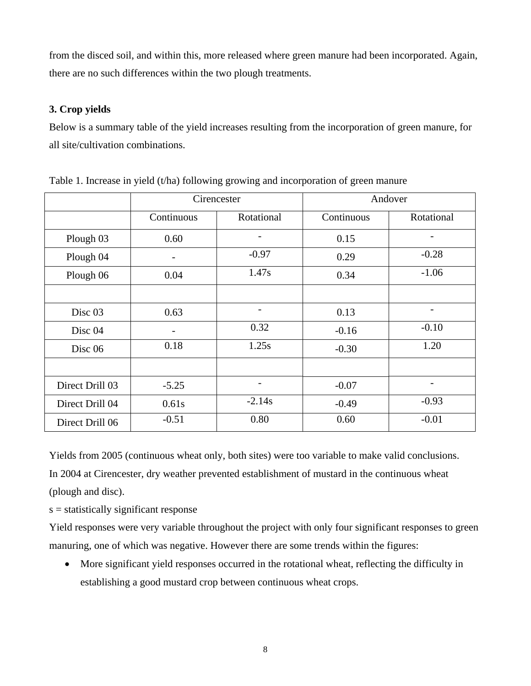from the disced soil, and within this, more released where green manure had been incorporated. Again, there are no such differences within the two plough treatments.

## **3. Crop yields**

Below is a summary table of the yield increases resulting from the incorporation of green manure, for all site/cultivation combinations.

|                    |            | Cirencester    |            | Andover                      |
|--------------------|------------|----------------|------------|------------------------------|
|                    | Continuous | Rotational     | Continuous | Rotational                   |
| Plough 03          | 0.60       | $\overline{a}$ | 0.15       | -                            |
| Plough 04          |            | $-0.97$        | 0.29       | $-0.28$                      |
| Plough 06          | 0.04       | 1.47s          | 0.34       | $-1.06$                      |
|                    |            |                |            |                              |
| Disc <sub>03</sub> | 0.63       |                | 0.13       |                              |
| Disc 04            |            | 0.32           | $-0.16$    | $-0.10$                      |
| Disc <sub>06</sub> | 0.18       | 1.25s          | $-0.30$    | 1.20                         |
|                    |            |                |            |                              |
| Direct Drill 03    | $-5.25$    | -              | $-0.07$    | $\qquad \qquad \blacksquare$ |
| Direct Drill 04    | 0.61s      | $-2.14s$       | $-0.49$    | $-0.93$                      |
| Direct Drill 06    | $-0.51$    | 0.80           | 0.60       | $-0.01$                      |

Table 1. Increase in yield (t/ha) following growing and incorporation of green manure

Yields from 2005 (continuous wheat only, both sites) were too variable to make valid conclusions. In 2004 at Cirencester, dry weather prevented establishment of mustard in the continuous wheat (plough and disc).

s = statistically significant response

Yield responses were very variable throughout the project with only four significant responses to green manuring, one of which was negative. However there are some trends within the figures:

• More significant yield responses occurred in the rotational wheat, reflecting the difficulty in establishing a good mustard crop between continuous wheat crops.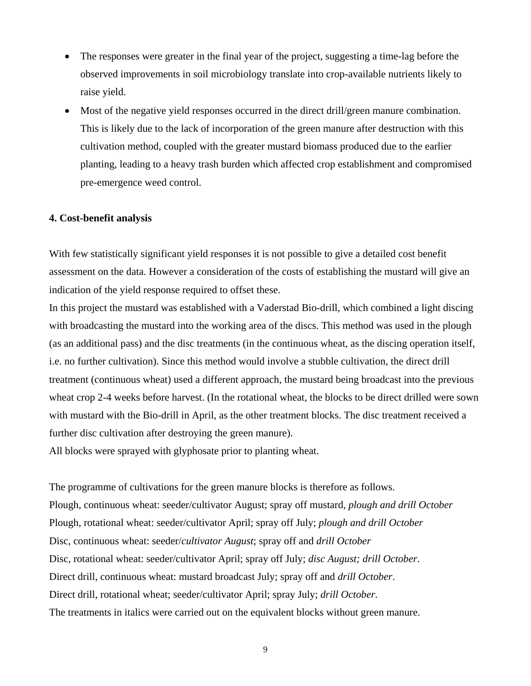- The responses were greater in the final year of the project, suggesting a time-lag before the observed improvements in soil microbiology translate into crop-available nutrients likely to raise yield.
- Most of the negative yield responses occurred in the direct drill/green manure combination. This is likely due to the lack of incorporation of the green manure after destruction with this cultivation method, coupled with the greater mustard biomass produced due to the earlier planting, leading to a heavy trash burden which affected crop establishment and compromised pre-emergence weed control.

### **4. Cost-benefit analysis**

With few statistically significant yield responses it is not possible to give a detailed cost benefit assessment on the data. However a consideration of the costs of establishing the mustard will give an indication of the yield response required to offset these.

In this project the mustard was established with a Vaderstad Bio-drill, which combined a light discing with broadcasting the mustard into the working area of the discs. This method was used in the plough (as an additional pass) and the disc treatments (in the continuous wheat, as the discing operation itself, i.e. no further cultivation). Since this method would involve a stubble cultivation, the direct drill treatment (continuous wheat) used a different approach, the mustard being broadcast into the previous wheat crop 2-4 weeks before harvest. (In the rotational wheat, the blocks to be direct drilled were sown with mustard with the Bio-drill in April, as the other treatment blocks. The disc treatment received a further disc cultivation after destroying the green manure).

All blocks were sprayed with glyphosate prior to planting wheat.

The programme of cultivations for the green manure blocks is therefore as follows. Plough, continuous wheat: seeder/cultivator August; spray off mustard, *plough and drill October* Plough, rotational wheat: seeder/cultivator April; spray off July; *plough and drill October* Disc, continuous wheat: seeder/*cultivator August*; spray off and *drill October* Disc, rotational wheat: seeder/cultivator April; spray off July; *disc August; drill October*. Direct drill, continuous wheat: mustard broadcast July; spray off and *drill October*. Direct drill, rotational wheat; seeder/cultivator April; spray July; *drill October*. The treatments in italics were carried out on the equivalent blocks without green manure.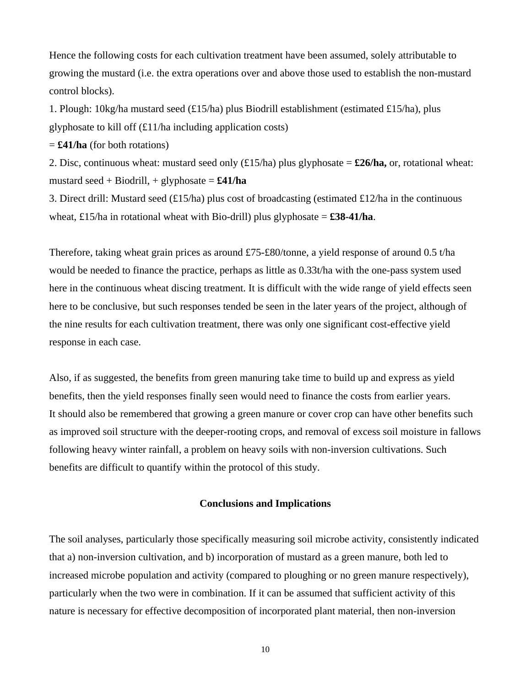Hence the following costs for each cultivation treatment have been assumed, solely attributable to growing the mustard (i.e. the extra operations over and above those used to establish the non-mustard control blocks).

1. Plough: 10kg/ha mustard seed (£15/ha) plus Biodrill establishment (estimated £15/ha), plus glyphosate to kill off  $(\text{\textsterling}11/ha)$  including application costs)

 $=$  **£41/ha** (for both rotations)

2. Disc, continuous wheat: mustard seed only (£15/ha) plus glyphosate = **£26/ha,** or, rotational wheat: mustard seed + Biodrill, + glyphosate =  $\pounds41/ha$ 

3. Direct drill: Mustard seed (£15/ha) plus cost of broadcasting (estimated £12/ha in the continuous wheat, £15/ha in rotational wheat with Bio-drill) plus glyphosate  $= \pounds 38 - 41/ha$ .

Therefore, taking wheat grain prices as around £75-£80/tonne, a yield response of around 0.5 t/ha would be needed to finance the practice, perhaps as little as 0.33t/ha with the one-pass system used here in the continuous wheat discing treatment. It is difficult with the wide range of yield effects seen here to be conclusive, but such responses tended be seen in the later years of the project, although of the nine results for each cultivation treatment, there was only one significant cost-effective yield response in each case.

Also, if as suggested, the benefits from green manuring take time to build up and express as yield benefits, then the yield responses finally seen would need to finance the costs from earlier years. It should also be remembered that growing a green manure or cover crop can have other benefits such as improved soil structure with the deeper-rooting crops, and removal of excess soil moisture in fallows following heavy winter rainfall, a problem on heavy soils with non-inversion cultivations. Such benefits are difficult to quantify within the protocol of this study.

### **Conclusions and Implications**

The soil analyses, particularly those specifically measuring soil microbe activity, consistently indicated that a) non-inversion cultivation, and b) incorporation of mustard as a green manure, both led to increased microbe population and activity (compared to ploughing or no green manure respectively), particularly when the two were in combination. If it can be assumed that sufficient activity of this nature is necessary for effective decomposition of incorporated plant material, then non-inversion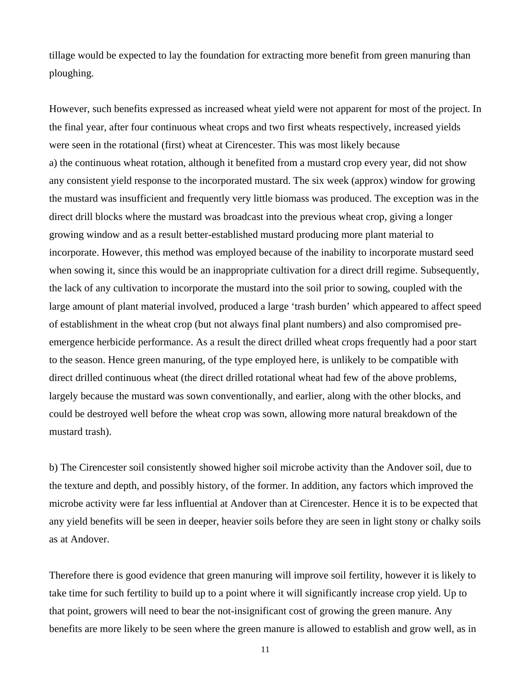tillage would be expected to lay the foundation for extracting more benefit from green manuring than ploughing.

However, such benefits expressed as increased wheat yield were not apparent for most of the project. In the final year, after four continuous wheat crops and two first wheats respectively, increased yields were seen in the rotational (first) wheat at Cirencester. This was most likely because a) the continuous wheat rotation, although it benefited from a mustard crop every year, did not show any consistent yield response to the incorporated mustard. The six week (approx) window for growing the mustard was insufficient and frequently very little biomass was produced. The exception was in the direct drill blocks where the mustard was broadcast into the previous wheat crop, giving a longer growing window and as a result better-established mustard producing more plant material to incorporate. However, this method was employed because of the inability to incorporate mustard seed when sowing it, since this would be an inappropriate cultivation for a direct drill regime. Subsequently, the lack of any cultivation to incorporate the mustard into the soil prior to sowing, coupled with the large amount of plant material involved, produced a large 'trash burden' which appeared to affect speed of establishment in the wheat crop (but not always final plant numbers) and also compromised preemergence herbicide performance. As a result the direct drilled wheat crops frequently had a poor start to the season. Hence green manuring, of the type employed here, is unlikely to be compatible with direct drilled continuous wheat (the direct drilled rotational wheat had few of the above problems, largely because the mustard was sown conventionally, and earlier, along with the other blocks, and could be destroyed well before the wheat crop was sown, allowing more natural breakdown of the mustard trash).

b) The Cirencester soil consistently showed higher soil microbe activity than the Andover soil, due to the texture and depth, and possibly history, of the former. In addition, any factors which improved the microbe activity were far less influential at Andover than at Cirencester. Hence it is to be expected that any yield benefits will be seen in deeper, heavier soils before they are seen in light stony or chalky soils as at Andover.

Therefore there is good evidence that green manuring will improve soil fertility, however it is likely to take time for such fertility to build up to a point where it will significantly increase crop yield. Up to that point, growers will need to bear the not-insignificant cost of growing the green manure. Any benefits are more likely to be seen where the green manure is allowed to establish and grow well, as in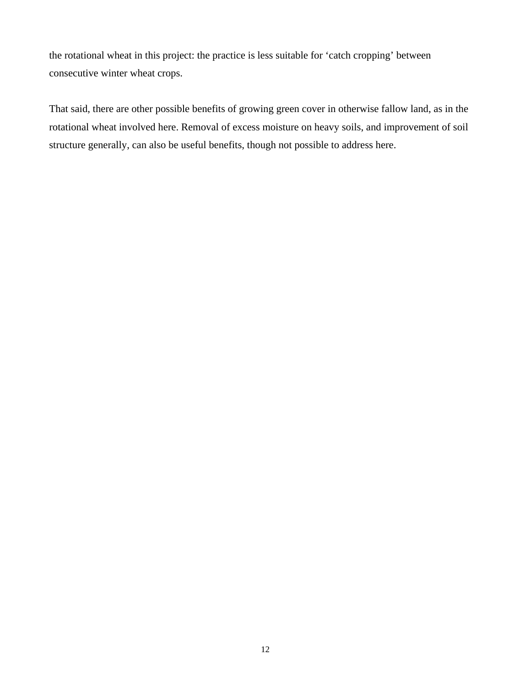the rotational wheat in this project: the practice is less suitable for 'catch cropping' between consecutive winter wheat crops.

That said, there are other possible benefits of growing green cover in otherwise fallow land, as in the rotational wheat involved here. Removal of excess moisture on heavy soils, and improvement of soil structure generally, can also be useful benefits, though not possible to address here.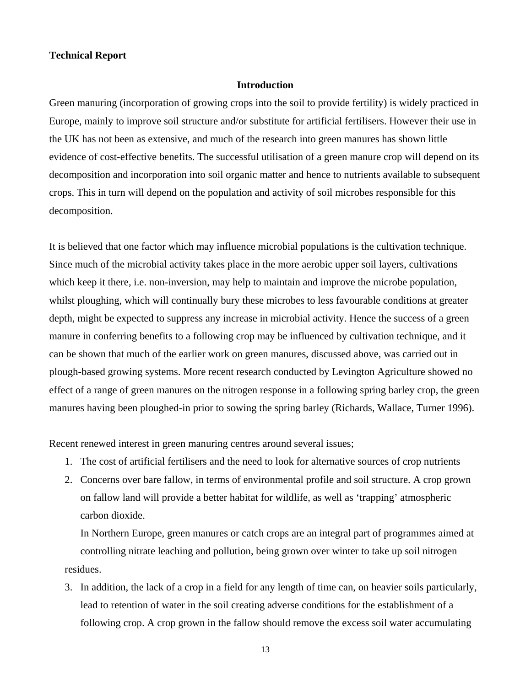#### **Technical Report**

#### **Introduction**

Green manuring (incorporation of growing crops into the soil to provide fertility) is widely practiced in Europe, mainly to improve soil structure and/or substitute for artificial fertilisers. However their use in the UK has not been as extensive, and much of the research into green manures has shown little evidence of cost-effective benefits. The successful utilisation of a green manure crop will depend on its decomposition and incorporation into soil organic matter and hence to nutrients available to subsequent crops. This in turn will depend on the population and activity of soil microbes responsible for this decomposition.

It is believed that one factor which may influence microbial populations is the cultivation technique. Since much of the microbial activity takes place in the more aerobic upper soil layers, cultivations which keep it there, i.e. non-inversion, may help to maintain and improve the microbe population, whilst ploughing, which will continually bury these microbes to less favourable conditions at greater depth, might be expected to suppress any increase in microbial activity. Hence the success of a green manure in conferring benefits to a following crop may be influenced by cultivation technique, and it can be shown that much of the earlier work on green manures, discussed above, was carried out in plough-based growing systems. More recent research conducted by Levington Agriculture showed no effect of a range of green manures on the nitrogen response in a following spring barley crop, the green manures having been ploughed-in prior to sowing the spring barley (Richards, Wallace, Turner 1996).

Recent renewed interest in green manuring centres around several issues;

- 1. The cost of artificial fertilisers and the need to look for alternative sources of crop nutrients
- 2. Concerns over bare fallow, in terms of environmental profile and soil structure. A crop grown on fallow land will provide a better habitat for wildlife, as well as 'trapping' atmospheric carbon dioxide.

 In Northern Europe, green manures or catch crops are an integral part of programmes aimed at controlling nitrate leaching and pollution, being grown over winter to take up soil nitrogen residues.

3. In addition, the lack of a crop in a field for any length of time can, on heavier soils particularly, lead to retention of water in the soil creating adverse conditions for the establishment of a following crop. A crop grown in the fallow should remove the excess soil water accumulating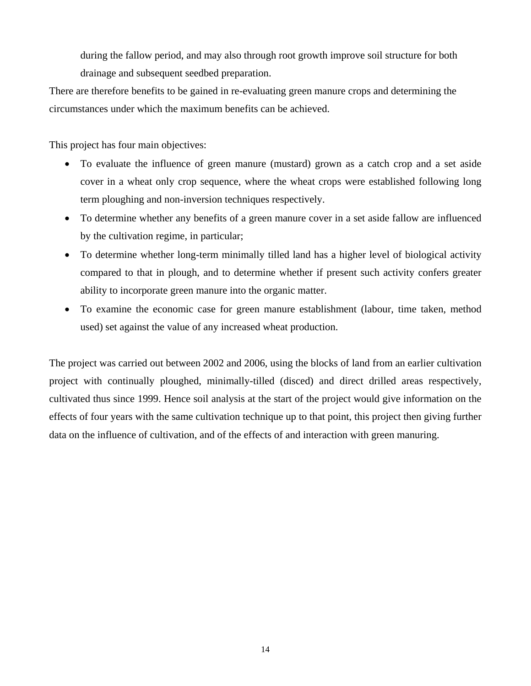during the fallow period, and may also through root growth improve soil structure for both drainage and subsequent seedbed preparation.

There are therefore benefits to be gained in re-evaluating green manure crops and determining the circumstances under which the maximum benefits can be achieved.

This project has four main objectives:

- To evaluate the influence of green manure (mustard) grown as a catch crop and a set aside cover in a wheat only crop sequence, where the wheat crops were established following long term ploughing and non-inversion techniques respectively.
- To determine whether any benefits of a green manure cover in a set aside fallow are influenced by the cultivation regime, in particular;
- To determine whether long-term minimally tilled land has a higher level of biological activity compared to that in plough, and to determine whether if present such activity confers greater ability to incorporate green manure into the organic matter.
- To examine the economic case for green manure establishment (labour, time taken, method used) set against the value of any increased wheat production.

The project was carried out between 2002 and 2006, using the blocks of land from an earlier cultivation project with continually ploughed, minimally-tilled (disced) and direct drilled areas respectively, cultivated thus since 1999. Hence soil analysis at the start of the project would give information on the effects of four years with the same cultivation technique up to that point, this project then giving further data on the influence of cultivation, and of the effects of and interaction with green manuring.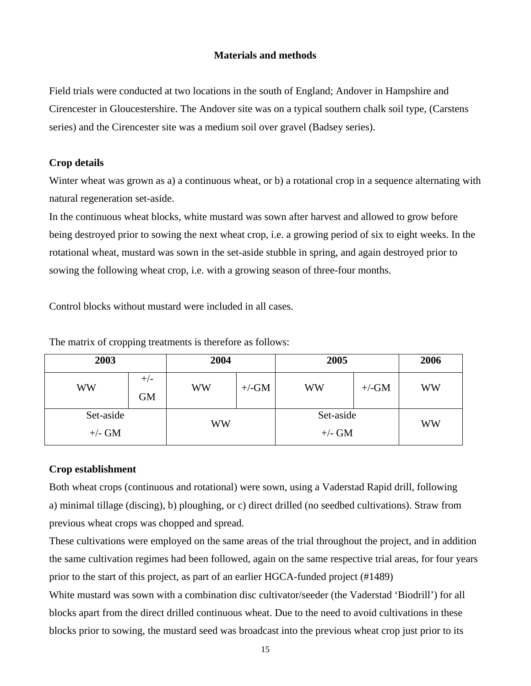## **Materials and methods**

Field trials were conducted at two locations in the south of England; Andover in Hampshire and Cirencester in Gloucestershire. The Andover site was on a typical southern chalk soil type, (Carstens series) and the Cirencester site was a medium soil over gravel (Badsey series).

## **Crop details**

Winter wheat was grown as a) a continuous wheat, or b) a rotational crop in a sequence alternating with natural regeneration set-aside.

In the continuous wheat blocks, white mustard was sown after harvest and allowed to grow before being destroyed prior to sowing the next wheat crop, i.e. a growing period of six to eight weeks. In the rotational wheat, mustard was sown in the set-aside stubble in spring, and again destroyed prior to sowing the following wheat crop, i.e. with a growing season of three-four months.

Control blocks without mustard were included in all cases.

| 2003                  |                    | 2004      |         | 2005                  | 2006    |    |
|-----------------------|--------------------|-----------|---------|-----------------------|---------|----|
| WW                    | $+/-$<br><b>GM</b> | <b>WW</b> | $+/-GM$ | WW                    | $+/-GM$ | WW |
| Set-aside<br>$+/- GM$ |                    | WW        |         | Set-aside<br>$+/-$ GM |         | WW |

The matrix of cropping treatments is therefore as follows:

## **Crop establishment**

Both wheat crops (continuous and rotational) were sown, using a Vaderstad Rapid drill, following a) minimal tillage (discing), b) ploughing, or c) direct drilled (no seedbed cultivations). Straw from previous wheat crops was chopped and spread.

These cultivations were employed on the same areas of the trial throughout the project, and in addition the same cultivation regimes had been followed, again on the same respective trial areas, for four years prior to the start of this project, as part of an earlier HGCA-funded project (#1489)

White mustard was sown with a combination disc cultivator/seeder (the Vaderstad 'Biodrill') for all blocks apart from the direct drilled continuous wheat. Due to the need to avoid cultivations in these blocks prior to sowing, the mustard seed was broadcast into the previous wheat crop just prior to its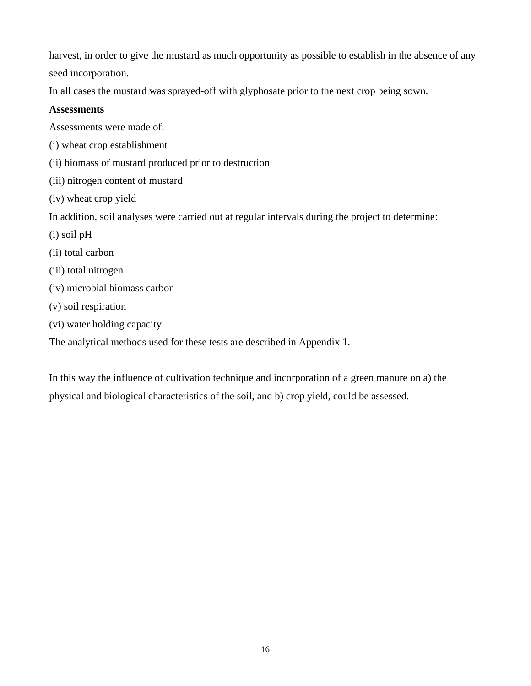harvest, in order to give the mustard as much opportunity as possible to establish in the absence of any seed incorporation.

In all cases the mustard was sprayed-off with glyphosate prior to the next crop being sown.

## **Assessments**

Assessments were made of:

- (i) wheat crop establishment
- (ii) biomass of mustard produced prior to destruction
- (iii) nitrogen content of mustard
- (iv) wheat crop yield

In addition, soil analyses were carried out at regular intervals during the project to determine:

- (i) soil pH
- (ii) total carbon
- (iii) total nitrogen
- (iv) microbial biomass carbon
- (v) soil respiration
- (vi) water holding capacity

The analytical methods used for these tests are described in Appendix 1.

In this way the influence of cultivation technique and incorporation of a green manure on a) the physical and biological characteristics of the soil, and b) crop yield, could be assessed.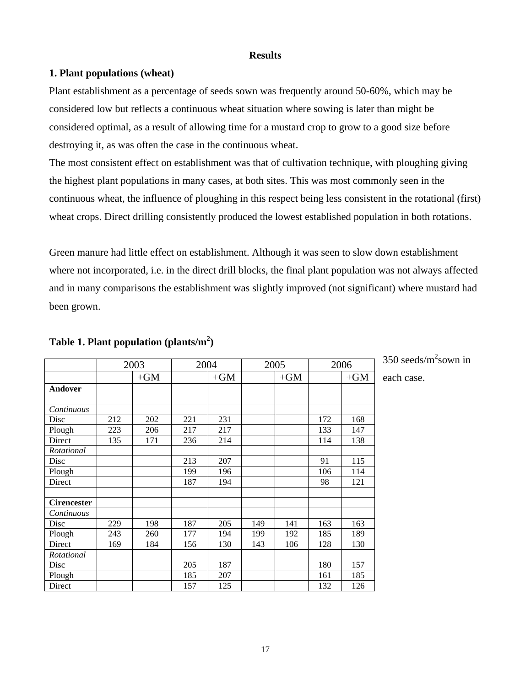### **Results**

### **1. Plant populations (wheat)**

Plant establishment as a percentage of seeds sown was frequently around 50-60%, which may be considered low but reflects a continuous wheat situation where sowing is later than might be considered optimal, as a result of allowing time for a mustard crop to grow to a good size before destroying it, as was often the case in the continuous wheat.

The most consistent effect on establishment was that of cultivation technique, with ploughing giving the highest plant populations in many cases, at both sites. This was most commonly seen in the continuous wheat, the influence of ploughing in this respect being less consistent in the rotational (first) wheat crops. Direct drilling consistently produced the lowest established population in both rotations.

Green manure had little effect on establishment. Although it was seen to slow down establishment where not incorporated, i.e. in the direct drill blocks, the final plant population was not always affected and in many comparisons the establishment was slightly improved (not significant) where mustard had been grown.

|                    |     | 2003  | 2004 |       |     | 2005  |     | 2006  |
|--------------------|-----|-------|------|-------|-----|-------|-----|-------|
|                    |     | $+GM$ |      | $+GM$ |     | $+GM$ |     | $+GM$ |
| Andover            |     |       |      |       |     |       |     |       |
| Continuous         |     |       |      |       |     |       |     |       |
| Disc               | 212 | 202   | 221  | 231   |     |       | 172 | 168   |
| Plough             | 223 | 206   | 217  | 217   |     |       | 133 | 147   |
| Direct             | 135 | 171   | 236  | 214   |     |       | 114 | 138   |
| Rotational         |     |       |      |       |     |       |     |       |
| Disc               |     |       | 213  | 207   |     |       | 91  | 115   |
| Plough             |     |       | 199  | 196   |     |       | 106 | 114   |
| Direct             |     |       | 187  | 194   |     |       | 98  | 121   |
| <b>Cirencester</b> |     |       |      |       |     |       |     |       |
| Continuous         |     |       |      |       |     |       |     |       |
| Disc               | 229 | 198   | 187  | 205   | 149 | 141   | 163 | 163   |
| Plough             | 243 | 260   | 177  | 194   | 199 | 192   | 185 | 189   |
| Direct             | 169 | 184   | 156  | 130   | 143 | 106   | 128 | 130   |
| Rotational         |     |       |      |       |     |       |     |       |
| Disc               |     |       | 205  | 187   |     |       | 180 | 157   |
| Plough             |     |       | 185  | 207   |     |       | 161 | 185   |
| Direct             |     |       | 157  | 125   |     |       | 132 | 126   |

## **Table 1. Plant population (plants/m2 )**

350 seeds/ $m^2$ sown in each case.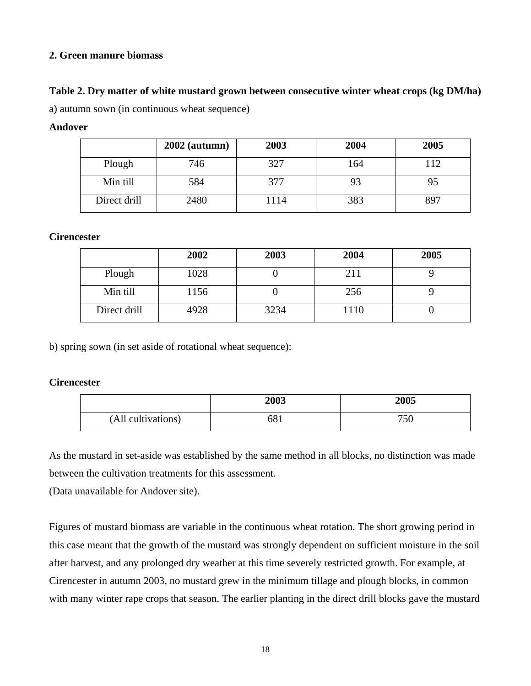## **2. Green manure biomass**

## **Table 2. Dry matter of white mustard grown between consecutive winter wheat crops (kg DM/ha)**

a) autumn sown (in continuous wheat sequence)

### **Andover**

|              | $2002$ (autumn) | 2003 | 2004 | 2005 |
|--------------|-----------------|------|------|------|
| Plough       | 746             | 327  | 164  | 112  |
| Min till     | 584             | 377  | 93   | 95   |
| Direct drill | 2480            | 114  | 383  | 897  |

### **Cirencester**

|              | 2002 | 2003 | 2004 | 2005 |
|--------------|------|------|------|------|
| Plough       | 1028 |      | 211  |      |
| Min till     | 1156 |      | 256  |      |
| Direct drill | 4928 | 3234 | 1110 |      |

b) spring sown (in set aside of rotational wheat sequence):

## **Cirencester**

|                    | 2003 | 2005 |
|--------------------|------|------|
| (All cultivations) | 681  | 750  |

As the mustard in set-aside was established by the same method in all blocks, no distinction was made between the cultivation treatments for this assessment.

(Data unavailable for Andover site).

Figures of mustard biomass are variable in the continuous wheat rotation. The short growing period in this case meant that the growth of the mustard was strongly dependent on sufficient moisture in the soil after harvest, and any prolonged dry weather at this time severely restricted growth. For example, at Cirencester in autumn 2003, no mustard grew in the minimum tillage and plough blocks, in common with many winter rape crops that season. The earlier planting in the direct drill blocks gave the mustard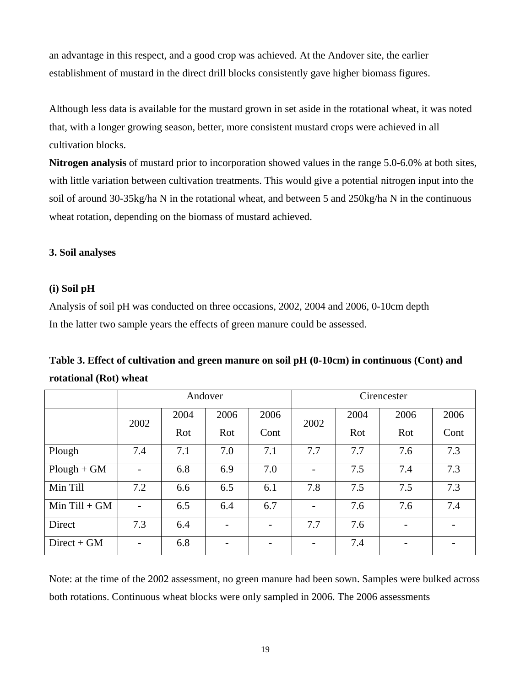an advantage in this respect, and a good crop was achieved. At the Andover site, the earlier establishment of mustard in the direct drill blocks consistently gave higher biomass figures.

Although less data is available for the mustard grown in set aside in the rotational wheat, it was noted that, with a longer growing season, better, more consistent mustard crops were achieved in all cultivation blocks.

**Nitrogen analysis** of mustard prior to incorporation showed values in the range 5.0-6.0% at both sites, with little variation between cultivation treatments. This would give a potential nitrogen input into the soil of around 30-35kg/ha N in the rotational wheat, and between 5 and 250kg/ha N in the continuous wheat rotation, depending on the biomass of mustard achieved.

## **3. Soil analyses**

### **(i) Soil pH**

Analysis of soil pH was conducted on three occasions, 2002, 2004 and 2006, 0-10cm depth In the latter two sample years the effects of green manure could be assessed.

|                   |                          | Andover |                          |      | Cirencester                  |      |                 |      |
|-------------------|--------------------------|---------|--------------------------|------|------------------------------|------|-----------------|------|
|                   | 2002                     | 2004    | 2006                     | 2006 | 2002                         | 2004 | 2006            | 2006 |
|                   |                          | Rot     | Rot                      | Cont |                              | Rot  | Rot             | Cont |
| Plough            | 7.4                      | 7.1     | 7.0                      | 7.1  | 7.7                          | 7.7  | 7.6             | 7.3  |
| $Plough + GM$     | $\qquad \qquad -$        | 6.8     | 6.9                      | 7.0  | $\qquad \qquad \blacksquare$ | 7.5  | 7.4             | 7.3  |
| Min Till          | 7.2                      | 6.6     | 6.5                      | 6.1  | 7.8                          | 7.5  | 7.5             | 7.3  |
| $Min$ Till + $GM$ |                          | 6.5     | 6.4                      | 6.7  | $\overline{a}$               | 7.6  | 7.6             | 7.4  |
| Direct            | 7.3                      | 6.4     |                          |      | 7.7                          | 7.6  |                 |      |
| $Direct + GM$     | $\overline{\phantom{a}}$ | 6.8     | $\overline{\phantom{0}}$ |      | $\overline{a}$               | 7.4  | $\qquad \qquad$ |      |

**Table 3. Effect of cultivation and green manure on soil pH (0-10cm) in continuous (Cont) and rotational (Rot) wheat** 

Note: at the time of the 2002 assessment, no green manure had been sown. Samples were bulked across both rotations. Continuous wheat blocks were only sampled in 2006. The 2006 assessments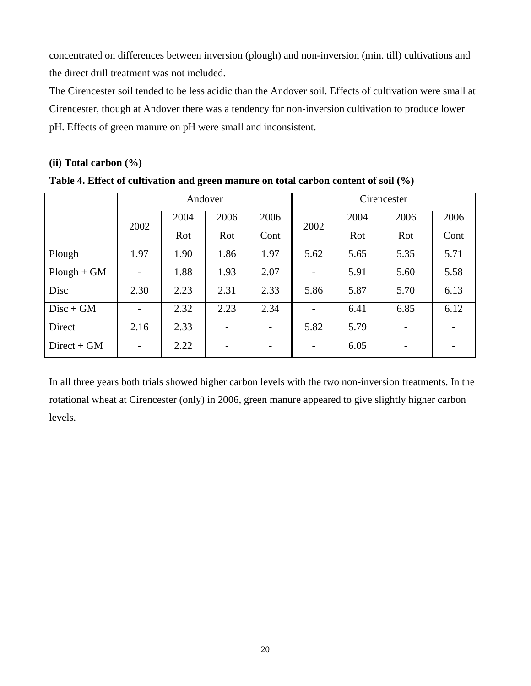concentrated on differences between inversion (plough) and non-inversion (min. till) cultivations and the direct drill treatment was not included.

The Cirencester soil tended to be less acidic than the Andover soil. Effects of cultivation were small at Cirencester, though at Andover there was a tendency for non-inversion cultivation to produce lower pH. Effects of green manure on pH were small and inconsistent.

## **(ii) Total carbon (%)**

| Table 4. Effect of cultivation and green manure on total carbon content of soil (%) |
|-------------------------------------------------------------------------------------|
|-------------------------------------------------------------------------------------|

|               |                   | Andover |      |      | Cirencester              |      |      |      |
|---------------|-------------------|---------|------|------|--------------------------|------|------|------|
|               | 2002              | 2004    | 2006 | 2006 | 2002                     | 2004 | 2006 | 2006 |
|               |                   | Rot     | Rot  | Cont |                          | Rot  | Rot  | Cont |
| Plough        | 1.97              | 1.90    | 1.86 | 1.97 | 5.62                     | 5.65 | 5.35 | 5.71 |
| $Plough + GM$ | $\qquad \qquad -$ | 1.88    | 1.93 | 2.07 |                          | 5.91 | 5.60 | 5.58 |
| Disc          | 2.30              | 2.23    | 2.31 | 2.33 | 5.86                     | 5.87 | 5.70 | 6.13 |
| $Disc + GM$   | $\qquad \qquad -$ | 2.32    | 2.23 | 2.34 | $\overline{\phantom{0}}$ | 6.41 | 6.85 | 6.12 |
| Direct        | 2.16              | 2.33    |      |      | 5.82                     | 5.79 |      |      |
| $Direct + GM$ | $\qquad \qquad =$ | 2.22    |      |      |                          | 6.05 |      |      |

In all three years both trials showed higher carbon levels with the two non-inversion treatments. In the rotational wheat at Cirencester (only) in 2006, green manure appeared to give slightly higher carbon levels.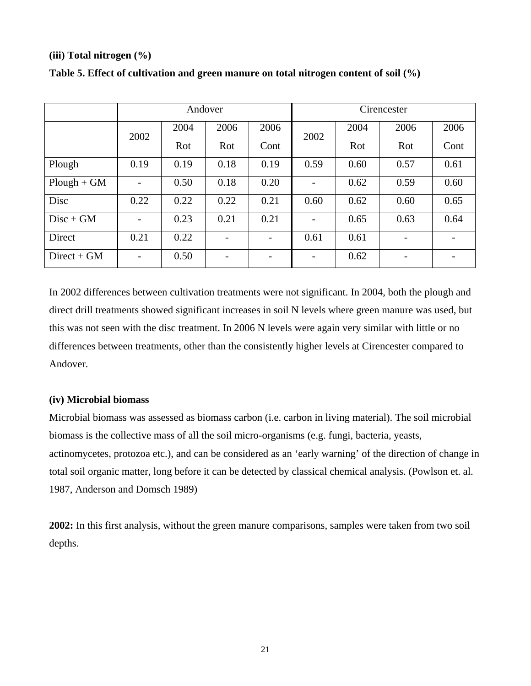### **(iii) Total nitrogen (%)**

|               |                          | Andover |      |      | Cirencester |      |      |      |
|---------------|--------------------------|---------|------|------|-------------|------|------|------|
|               | 2002                     | 2004    | 2006 | 2006 | 2002        | 2004 | 2006 | 2006 |
|               |                          | Rot     | Rot  | Cont |             | Rot  | Rot  | Cont |
| Plough        | 0.19                     | 0.19    | 0.18 | 0.19 | 0.59        | 0.60 | 0.57 | 0.61 |
| $Plough + GM$ | $\overline{\phantom{0}}$ | 0.50    | 0.18 | 0.20 |             | 0.62 | 0.59 | 0.60 |
| Disc          | 0.22                     | 0.22    | 0.22 | 0.21 | 0.60        | 0.62 | 0.60 | 0.65 |
| $Disc + GM$   | $\overline{\phantom{0}}$ | 0.23    | 0.21 | 0.21 |             | 0.65 | 0.63 | 0.64 |
| Direct        | 0.21                     | 0.22    |      |      | 0.61        | 0.61 |      |      |
| $Direct + GM$ | $\overline{\phantom{a}}$ | 0.50    |      |      |             | 0.62 |      |      |

### **Table 5. Effect of cultivation and green manure on total nitrogen content of soil (%)**

In 2002 differences between cultivation treatments were not significant. In 2004, both the plough and direct drill treatments showed significant increases in soil N levels where green manure was used, but this was not seen with the disc treatment. In 2006 N levels were again very similar with little or no differences between treatments, other than the consistently higher levels at Cirencester compared to Andover.

## **(iv) Microbial biomass**

Microbial biomass was assessed as biomass carbon (i.e. carbon in living material). The soil microbial biomass is the collective mass of all the soil micro-organisms (e.g. fungi, bacteria, yeasts, actinomycetes, protozoa etc.), and can be considered as an 'early warning' of the direction of change in total soil organic matter, long before it can be detected by classical chemical analysis. (Powlson et. al. 1987, Anderson and Domsch 1989)

**2002:** In this first analysis, without the green manure comparisons, samples were taken from two soil depths.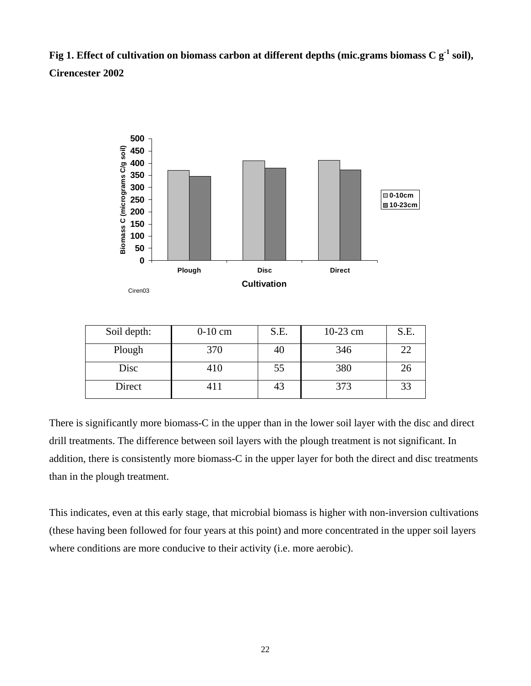**Fig 1. Effect of cultivation on biomass carbon at different depths (mic.grams biomass C g-1 soil), Cirencester 2002** 



| Soil depth: | $0-10$ cm | S.E. | $10-23$ cm | S.E. |
|-------------|-----------|------|------------|------|
| Plough      | 370       | 40   | 346        | 22   |
| Disc        | 410       | 55   | 380        | 26   |
| Direct      | 411       | 43   | 373        | 33   |

There is significantly more biomass-C in the upper than in the lower soil layer with the disc and direct drill treatments. The difference between soil layers with the plough treatment is not significant. In addition, there is consistently more biomass-C in the upper layer for both the direct and disc treatments than in the plough treatment.

This indicates, even at this early stage, that microbial biomass is higher with non-inversion cultivations (these having been followed for four years at this point) and more concentrated in the upper soil layers where conditions are more conducive to their activity (i.e. more aerobic).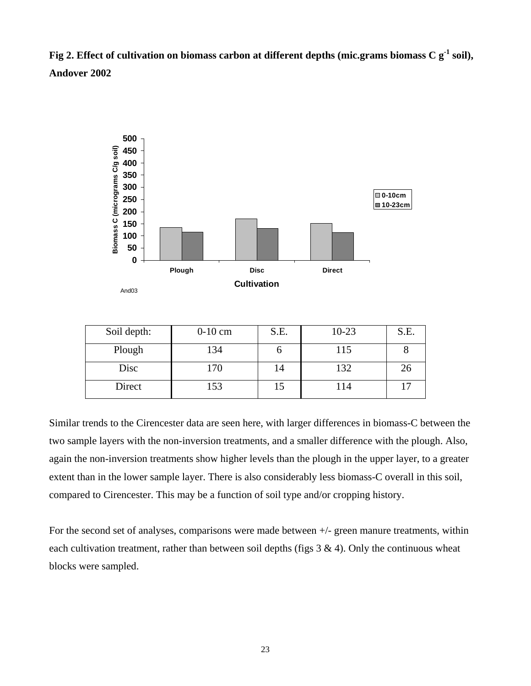**Fig 2. Effect of cultivation on biomass carbon at different depths (mic.grams biomass C g-1 soil), Andover 2002** 



| Soil depth: | $0-10$ cm | S.E. | $10 - 23$ | S.E. |
|-------------|-----------|------|-----------|------|
| Plough      | 134       |      | 115       |      |
| Disc        | 170       | 14   | 132       | 26   |
| Direct      | 153       |      | 114       |      |

Similar trends to the Cirencester data are seen here, with larger differences in biomass-C between the two sample layers with the non-inversion treatments, and a smaller difference with the plough. Also, again the non-inversion treatments show higher levels than the plough in the upper layer, to a greater extent than in the lower sample layer. There is also considerably less biomass-C overall in this soil, compared to Cirencester. This may be a function of soil type and/or cropping history.

For the second set of analyses, comparisons were made between +/- green manure treatments, within each cultivation treatment, rather than between soil depths (figs  $3 \& 4$ ). Only the continuous wheat blocks were sampled.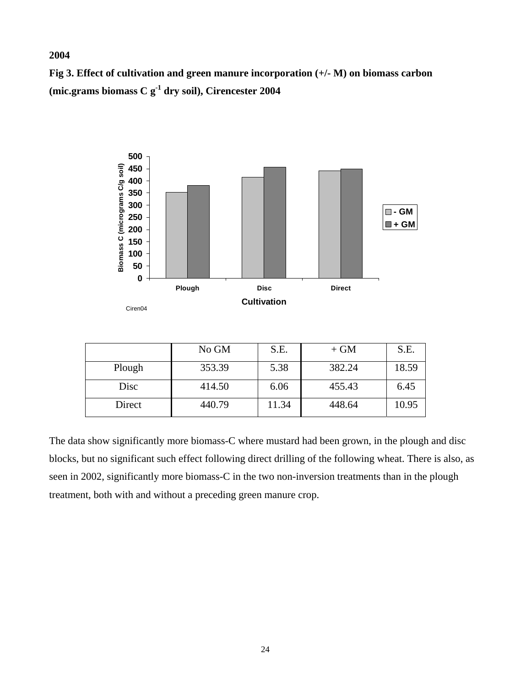**Fig 3. Effect of cultivation and green manure incorporation (+/- M) on biomass carbon (mic.grams biomass C g-1 dry soil), Cirencester 2004** 

**2004** 



The data show significantly more biomass-C where mustard had been grown, in the plough and disc blocks, but no significant such effect following direct drilling of the following wheat. There is also, as seen in 2002, significantly more biomass-C in the two non-inversion treatments than in the plough treatment, both with and without a preceding green manure crop.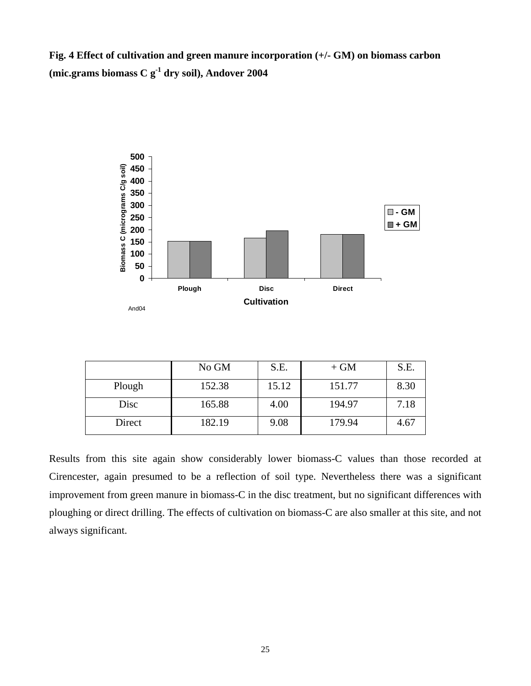**Fig. 4 Effect of cultivation and green manure incorporation (+/- GM) on biomass carbon (mic.grams biomass C g-1 dry soil), Andover 2004** 



|        | No GM  | S.E.  | $+ GM$ | S.E. |
|--------|--------|-------|--------|------|
| Plough | 152.38 | 15.12 | 151.77 | 8.30 |
| Disc   | 165.88 | 4.00  | 194.97 | 7.18 |
| Direct | 182.19 | 9.08  | 179.94 | 4.67 |

Results from this site again show considerably lower biomass-C values than those recorded at Cirencester, again presumed to be a reflection of soil type. Nevertheless there was a significant improvement from green manure in biomass-C in the disc treatment, but no significant differences with ploughing or direct drilling. The effects of cultivation on biomass-C are also smaller at this site, and not always significant.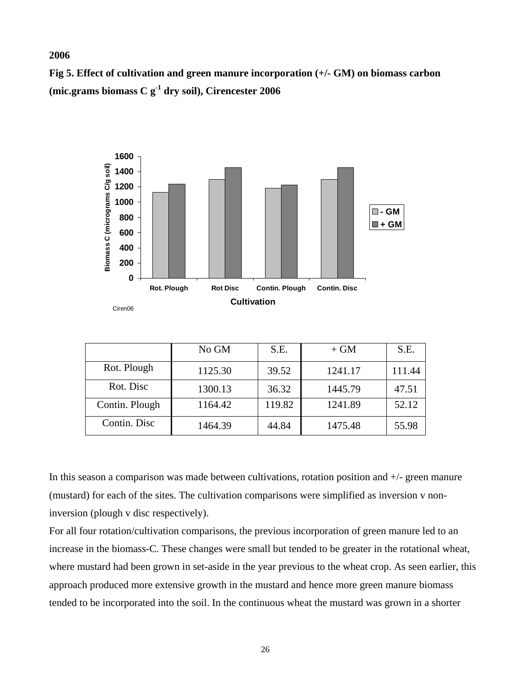#### **2006**

**Fig 5. Effect of cultivation and green manure incorporation (+/- GM) on biomass carbon (mic.grams biomass C g-1 dry soil), Cirencester 2006** 



|                | No GM   | S.E.   | $+ GM$  | S.E.   |
|----------------|---------|--------|---------|--------|
| Rot. Plough    | 1125.30 | 39.52  | 1241.17 | 111.44 |
| Rot. Disc      | 1300.13 | 36.32  | 1445.79 | 47.51  |
| Contin. Plough | 1164.42 | 119.82 | 1241.89 | 52.12  |
| Contin. Disc   | 1464.39 | 44.84  | 1475.48 | 55.98  |

In this season a comparison was made between cultivations, rotation position and  $+/-$  green manure (mustard) for each of the sites. The cultivation comparisons were simplified as inversion v noninversion (plough v disc respectively).

For all four rotation/cultivation comparisons, the previous incorporation of green manure led to an increase in the biomass-C. These changes were small but tended to be greater in the rotational wheat, where mustard had been grown in set-aside in the year previous to the wheat crop. As seen earlier, this approach produced more extensive growth in the mustard and hence more green manure biomass tended to be incorporated into the soil. In the continuous wheat the mustard was grown in a shorter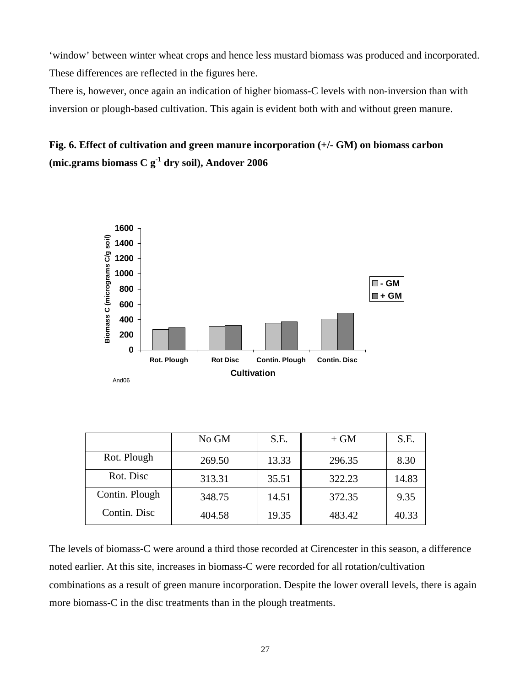'window' between winter wheat crops and hence less mustard biomass was produced and incorporated. These differences are reflected in the figures here.

There is, however, once again an indication of higher biomass-C levels with non-inversion than with inversion or plough-based cultivation. This again is evident both with and without green manure.

## **Fig. 6. Effect of cultivation and green manure incorporation (+/- GM) on biomass carbon (mic.grams biomass C g-1 dry soil), Andover 2006**



|                | No GM  | S.E.  | $+ GM$ | S.E.  |
|----------------|--------|-------|--------|-------|
| Rot. Plough    | 269.50 | 13.33 | 296.35 | 8.30  |
| Rot. Disc      | 313.31 | 35.51 | 322.23 | 14.83 |
| Contin. Plough | 348.75 | 14.51 | 372.35 | 9.35  |
| Contin. Disc   | 404.58 | 19.35 | 483.42 | 40.33 |

The levels of biomass-C were around a third those recorded at Cirencester in this season, a difference noted earlier. At this site, increases in biomass-C were recorded for all rotation/cultivation combinations as a result of green manure incorporation. Despite the lower overall levels, there is again more biomass-C in the disc treatments than in the plough treatments.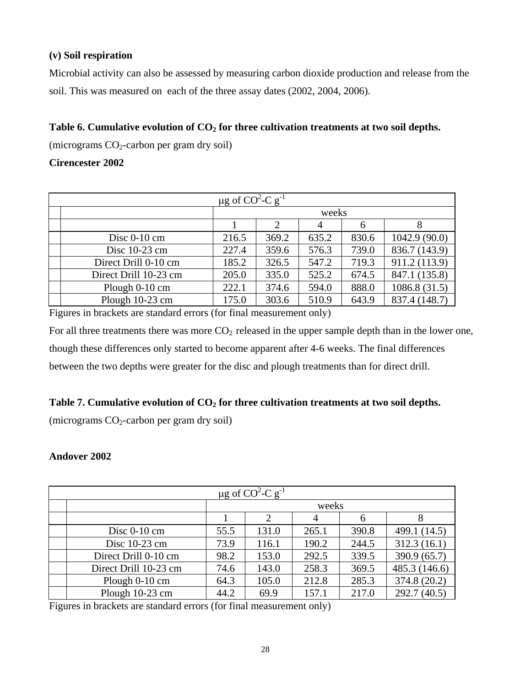## **(v) Soil respiration**

Microbial activity can also be assessed by measuring carbon dioxide production and release from the soil. This was measured on each of the three assay dates (2002, 2004, 2006).

## Table 6. Cumulative evolution of CO<sub>2</sub> for three cultivation treatments at two soil depths.

(micrograms  $CO_2$ -carbon per gram dry soil)

## **Cirencester 2002**

| $\mu$ g of CO <sup>2</sup> -C g <sup>-1</sup> |       |       |       |       |               |  |  |
|-----------------------------------------------|-------|-------|-------|-------|---------------|--|--|
|                                               |       |       | weeks |       |               |  |  |
|                                               |       |       | 4     | 6     | 8             |  |  |
| Disc $0-10$ cm                                | 216.5 | 369.2 | 635.2 | 830.6 | 1042.9(90.0)  |  |  |
| Disc 10-23 cm                                 | 227.4 | 359.6 | 576.3 | 739.0 | 836.7 (143.9) |  |  |
| Direct Drill 0-10 cm                          | 185.2 | 326.5 | 547.2 | 719.3 | 911.2 (113.9) |  |  |
| Direct Drill 10-23 cm                         | 205.0 | 335.0 | 525.2 | 674.5 | 847.1 (135.8) |  |  |
| Plough 0-10 cm                                | 222.1 | 374.6 | 594.0 | 888.0 | 1086.8(31.5)  |  |  |
| Plough 10-23 cm                               | 175.0 | 303.6 | 510.9 | 643.9 | 837.4 (148.7) |  |  |

Figures in brackets are standard errors (for final measurement only)

For all three treatments there was more  $CO<sub>2</sub>$  released in the upper sample depth than in the lower one, though these differences only started to become apparent after 4-6 weeks. The final differences between the two depths were greater for the disc and plough treatments than for direct drill.

## Table 7. Cumulative evolution of CO<sub>2</sub> for three cultivation treatments at two soil depths.

(micrograms  $CO<sub>2</sub>$ -carbon per gram dry soil)

## **Andover 2002**

| $\mu$ g of CO <sup>2</sup> -C g <sup>-1</sup> |      |                |       |       |               |  |  |
|-----------------------------------------------|------|----------------|-------|-------|---------------|--|--|
|                                               |      |                | weeks |       |               |  |  |
|                                               |      | $\overline{2}$ |       | 6     | 8             |  |  |
| Disc $0-10$ cm                                | 55.5 | 131.0          | 265.1 | 390.8 | 499.1 (14.5)  |  |  |
| Disc 10-23 cm                                 | 73.9 | 116.1          | 190.2 | 244.5 | 312.3(16.1)   |  |  |
| Direct Drill 0-10 cm                          | 98.2 | 153.0          | 292.5 | 339.5 | 390.9 (65.7)  |  |  |
| Direct Drill 10-23 cm                         | 74.6 | 143.0          | 258.3 | 369.5 | 485.3 (146.6) |  |  |
| Plough 0-10 cm                                | 64.3 | 105.0          | 212.8 | 285.3 | 374.8 (20.2)  |  |  |
| Plough 10-23 cm                               | 44.2 | 69.9           | 157.1 | 217.0 | 292.7(40.5)   |  |  |

Figures in brackets are standard errors (for final measurement only)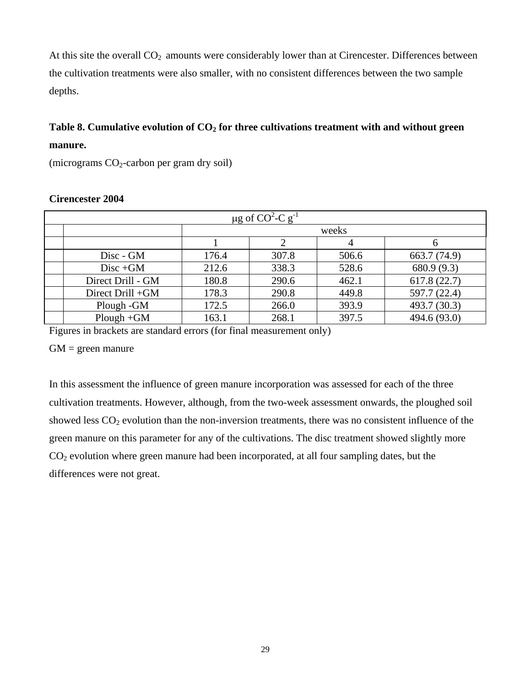At this site the overall  $CO<sub>2</sub>$  amounts were considerably lower than at Cirencester. Differences between the cultivation treatments were also smaller, with no consistent differences between the two sample depths.

## Table 8. Cumulative evolution of CO<sub>2</sub> for three cultivations treatment with and without green **manure.**

(micrograms  $CO<sub>2</sub>$ -carbon per gram dry soil)

| $\mu$ g of CO <sup>2</sup> -C g <sup>-1</sup> |                   |       |       |       |              |  |  |  |
|-----------------------------------------------|-------------------|-------|-------|-------|--------------|--|--|--|
|                                               |                   |       |       | weeks |              |  |  |  |
|                                               |                   |       |       | 4     | h            |  |  |  |
|                                               | Disc - GM         | 176.4 | 307.8 | 506.6 | 663.7 (74.9) |  |  |  |
|                                               | $Disc + GM$       | 212.6 | 338.3 | 528.6 | 680.9 (9.3)  |  |  |  |
|                                               | Direct Drill - GM | 180.8 | 290.6 | 462.1 | 617.8(22.7)  |  |  |  |
|                                               | Direct Drill +GM  | 178.3 | 290.8 | 449.8 | 597.7 (22.4) |  |  |  |
|                                               | Plough - GM       | 172.5 | 266.0 | 393.9 | 493.7 (30.3) |  |  |  |
|                                               | $Plough + GM$     | 163.1 | 268.1 | 397.5 | 494.6 (93.0) |  |  |  |

## **Cirencester 2004**

Figures in brackets are standard errors (for final measurement only)

 $GM = green$  manure

In this assessment the influence of green manure incorporation was assessed for each of the three cultivation treatments. However, although, from the two-week assessment onwards, the ploughed soil showed less  $CO<sub>2</sub>$  evolution than the non-inversion treatments, there was no consistent influence of the green manure on this parameter for any of the cultivations. The disc treatment showed slightly more CO2 evolution where green manure had been incorporated, at all four sampling dates, but the differences were not great.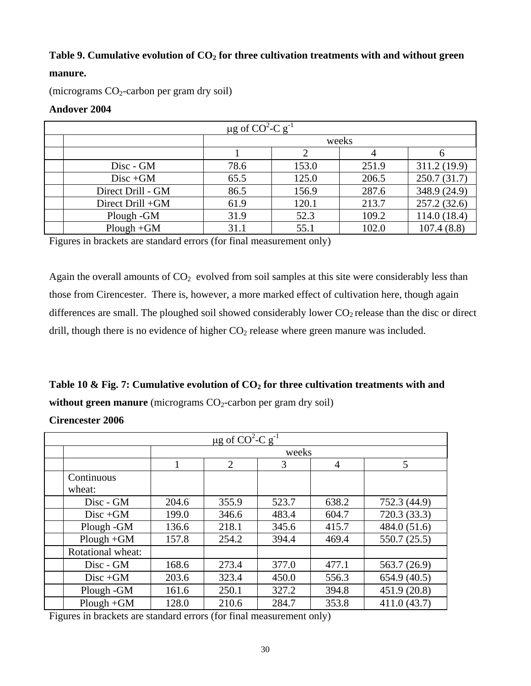## Table 9. Cumulative evolution of CO<sub>2</sub> for three cultivation treatments with and without green

## **manure.**

(micrograms  $CO<sub>2</sub>$ -carbon per gram dry soil)

### **Andover 2004**

| $\mu$ g of CO <sup>2</sup> -C g <sup>-1</sup> |      |       |       |              |  |  |  |
|-----------------------------------------------|------|-------|-------|--------------|--|--|--|
|                                               |      | weeks |       |              |  |  |  |
|                                               |      |       |       |              |  |  |  |
| Disc - GM                                     | 78.6 | 153.0 | 251.9 | 311.2 (19.9) |  |  |  |
| $Disc + GM$                                   | 65.5 | 125.0 | 206.5 | 250.7(31.7)  |  |  |  |
| Direct Drill - GM                             | 86.5 | 156.9 | 287.6 | 348.9 (24.9) |  |  |  |
| Direct Drill +GM                              | 61.9 | 120.1 | 213.7 | 257.2(32.6)  |  |  |  |
| Plough - GM                                   | 31.9 | 52.3  | 109.2 | 114.0(18.4)  |  |  |  |
| $Plough + GM$                                 | 31.1 | 55.1  | 102.0 | 107.4(8.8)   |  |  |  |

Figures in brackets are standard errors (for final measurement only)

Again the overall amounts of  $CO<sub>2</sub>$  evolved from soil samples at this site were considerably less than those from Cirencester. There is, however, a more marked effect of cultivation here, though again differences are small. The ploughed soil showed considerably lower  $CO<sub>2</sub>$  release than the disc or direct drill, though there is no evidence of higher  $CO<sub>2</sub>$  release where green manure was included.

Table 10 & Fig. 7: Cumulative evolution of CO<sub>2</sub> for three cultivation treatments with and **without green manure** (micrograms CO<sub>2</sub>-carbon per gram dry soil)

**Cirencester 2006** 

| $\mu$ g of CO <sup>2</sup> -C g <sup>-1</sup> |       |                |       |                |              |  |  |
|-----------------------------------------------|-------|----------------|-------|----------------|--------------|--|--|
|                                               |       |                | weeks |                |              |  |  |
|                                               | 1     | $\overline{2}$ | 3     | $\overline{4}$ | 5            |  |  |
| Continuous<br>wheat:                          |       |                |       |                |              |  |  |
| Disc - GM                                     | 204.6 | 355.9          | 523.7 | 638.2          | 752.3 (44.9) |  |  |
| $Disc + GM$                                   | 199.0 | 346.6          | 483.4 | 604.7          | 720.3 (33.3) |  |  |
| Plough - GM                                   | 136.6 | 218.1          | 345.6 | 415.7          | 484.0 (51.6) |  |  |
| $Plough + GM$                                 | 157.8 | 254.2          | 394.4 | 469.4          | 550.7 (25.5) |  |  |
| Rotational wheat:                             |       |                |       |                |              |  |  |
| Disc - GM                                     | 168.6 | 273.4          | 377.0 | 477.1          | 563.7 (26.9) |  |  |
| $Disc + GM$                                   | 203.6 | 323.4          | 450.0 | 556.3          | 654.9 (40.5) |  |  |
| Plough - GM                                   | 161.6 | 250.1          | 327.2 | 394.8          | 451.9 (20.8) |  |  |
| $Plough + GM$                                 | 128.0 | 210.6          | 284.7 | 353.8          | 411.0(43.7)  |  |  |

Figures in brackets are standard errors (for final measurement only)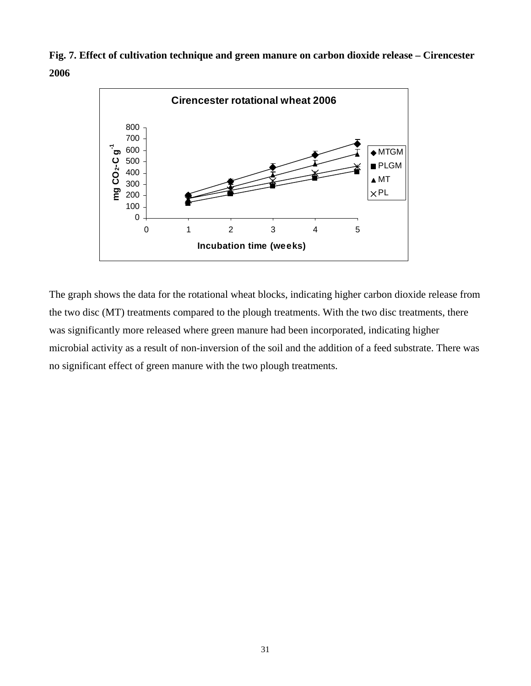**Fig. 7. Effect of cultivation technique and green manure on carbon dioxide release – Cirencester 2006** 



The graph shows the data for the rotational wheat blocks, indicating higher carbon dioxide release from the two disc (MT) treatments compared to the plough treatments. With the two disc treatments, there was significantly more released where green manure had been incorporated, indicating higher microbial activity as a result of non-inversion of the soil and the addition of a feed substrate. There was no significant effect of green manure with the two plough treatments.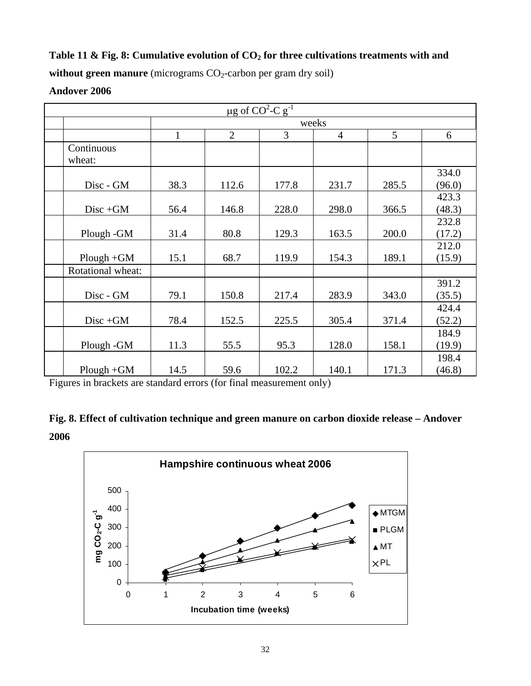## Table 11 & Fig. 8: Cumulative evolution of CO<sub>2</sub> for three cultivations treatments with and

without green manure (micrograms CO<sub>2</sub>-carbon per gram dry soil)

## **Andover 2006**

| $\mu$ g of CO <sup>2</sup> -C g <sup>-1</sup> |              |                |       |                |       |                 |  |
|-----------------------------------------------|--------------|----------------|-------|----------------|-------|-----------------|--|
|                                               |              |                |       | weeks          |       |                 |  |
|                                               | $\mathbf{1}$ | $\overline{2}$ | 3     | $\overline{4}$ | 5     | 6               |  |
| Continuous<br>wheat:                          |              |                |       |                |       |                 |  |
| Disc - GM                                     | 38.3         | 112.6          | 177.8 | 231.7          | 285.5 | 334.0<br>(96.0) |  |
| $Disc + GM$                                   | 56.4         | 146.8          | 228.0 | 298.0          | 366.5 | 423.3<br>(48.3) |  |
| Plough - GM                                   | 31.4         | 80.8           | 129.3 | 163.5          | 200.0 | 232.8<br>(17.2) |  |
| $Plough + GM$                                 | 15.1         | 68.7           | 119.9 | 154.3          | 189.1 | 212.0<br>(15.9) |  |
| Rotational wheat:                             |              |                |       |                |       |                 |  |
| Disc - GM                                     | 79.1         | 150.8          | 217.4 | 283.9          | 343.0 | 391.2<br>(35.5) |  |
| $Disc + GM$                                   | 78.4         | 152.5          | 225.5 | 305.4          | 371.4 | 424.4<br>(52.2) |  |
| Plough - GM                                   | 11.3         | 55.5           | 95.3  | 128.0          | 158.1 | 184.9<br>(19.9) |  |
| $Plough + GM$                                 | 14.5         | 59.6           | 102.2 | 140.1          | 171.3 | 198.4<br>(46.8) |  |

Figures in brackets are standard errors (for final measurement only)



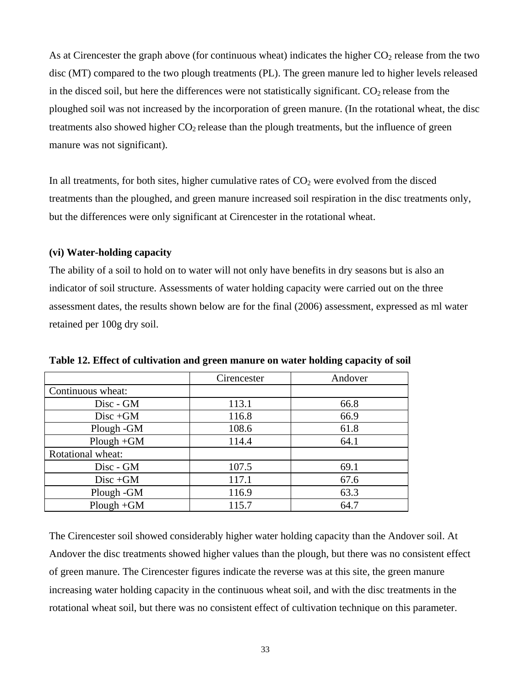As at Cirencester the graph above (for continuous wheat) indicates the higher  $CO<sub>2</sub>$  release from the two disc (MT) compared to the two plough treatments (PL). The green manure led to higher levels released in the disced soil, but here the differences were not statistically significant.  $CO<sub>2</sub>$  release from the ploughed soil was not increased by the incorporation of green manure. (In the rotational wheat, the disc treatments also showed higher  $CO<sub>2</sub>$  release than the plough treatments, but the influence of green manure was not significant).

In all treatments, for both sites, higher cumulative rates of  $CO<sub>2</sub>$  were evolved from the disced treatments than the ploughed, and green manure increased soil respiration in the disc treatments only, but the differences were only significant at Cirencester in the rotational wheat.

## **(vi) Water-holding capacity**

The ability of a soil to hold on to water will not only have benefits in dry seasons but is also an indicator of soil structure. Assessments of water holding capacity were carried out on the three assessment dates, the results shown below are for the final (2006) assessment, expressed as ml water retained per 100g dry soil.

|                   | Cirencester | Andover |
|-------------------|-------------|---------|
| Continuous wheat: |             |         |
| Disc - GM         | 113.1       | 66.8    |
| $Disc + GM$       | 116.8       | 66.9    |
| Plough - GM       | 108.6       | 61.8    |
| $Plough + GM$     | 114.4       | 64.1    |
| Rotational wheat: |             |         |
| Disc - GM         | 107.5       | 69.1    |
| $Disc + GM$       | 117.1       | 67.6    |
| Plough - GM       | 116.9       | 63.3    |
| $Plough + GM$     | 115.7       | 64.7    |

**Table 12. Effect of cultivation and green manure on water holding capacity of soil** 

The Cirencester soil showed considerably higher water holding capacity than the Andover soil. At Andover the disc treatments showed higher values than the plough, but there was no consistent effect of green manure. The Cirencester figures indicate the reverse was at this site, the green manure increasing water holding capacity in the continuous wheat soil, and with the disc treatments in the rotational wheat soil, but there was no consistent effect of cultivation technique on this parameter.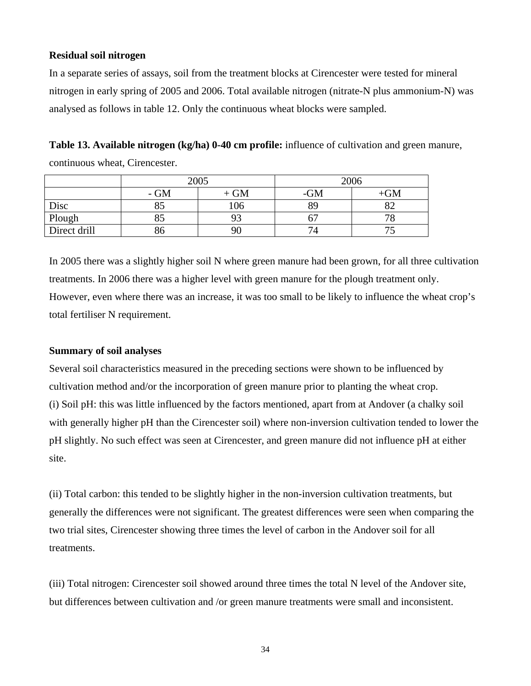## **Residual soil nitrogen**

In a separate series of assays, soil from the treatment blocks at Cirencester were tested for mineral nitrogen in early spring of 2005 and 2006. Total available nitrogen (nitrate-N plus ammonium-N) was analysed as follows in table 12. Only the continuous wheat blocks were sampled.

**Table 13. Available nitrogen (kg/ha) 0-40 cm profile:** influence of cultivation and green manure, continuous wheat, Cirencester.

|              | 2005  |        | 2006 |           |
|--------------|-------|--------|------|-----------|
|              | $-GM$ | $+ GM$ | -GM  | <b>GM</b> |
| Disc         | 85    | 106    | 89   |           |
| Plough       | 85    |        |      |           |
| Direct drill | ახ    | 90     | 74   |           |

In 2005 there was a slightly higher soil N where green manure had been grown, for all three cultivation treatments. In 2006 there was a higher level with green manure for the plough treatment only. However, even where there was an increase, it was too small to be likely to influence the wheat crop's total fertiliser N requirement.

### **Summary of soil analyses**

Several soil characteristics measured in the preceding sections were shown to be influenced by cultivation method and/or the incorporation of green manure prior to planting the wheat crop. (i) Soil pH: this was little influenced by the factors mentioned, apart from at Andover (a chalky soil with generally higher pH than the Cirencester soil) where non-inversion cultivation tended to lower the pH slightly. No such effect was seen at Cirencester, and green manure did not influence pH at either site.

(ii) Total carbon: this tended to be slightly higher in the non-inversion cultivation treatments, but generally the differences were not significant. The greatest differences were seen when comparing the two trial sites, Cirencester showing three times the level of carbon in the Andover soil for all treatments.

(iii) Total nitrogen: Cirencester soil showed around three times the total N level of the Andover site, but differences between cultivation and /or green manure treatments were small and inconsistent.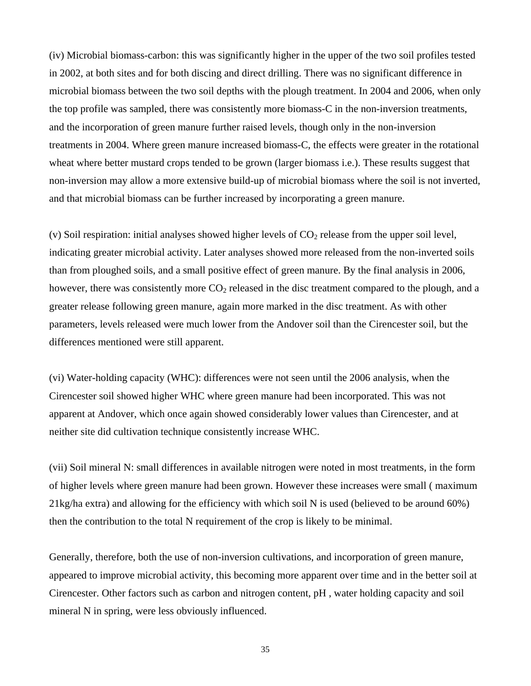(iv) Microbial biomass-carbon: this was significantly higher in the upper of the two soil profiles tested in 2002, at both sites and for both discing and direct drilling. There was no significant difference in microbial biomass between the two soil depths with the plough treatment. In 2004 and 2006, when only the top profile was sampled, there was consistently more biomass-C in the non-inversion treatments, and the incorporation of green manure further raised levels, though only in the non-inversion treatments in 2004. Where green manure increased biomass-C, the effects were greater in the rotational wheat where better mustard crops tended to be grown (larger biomass i.e.). These results suggest that non-inversion may allow a more extensive build-up of microbial biomass where the soil is not inverted, and that microbial biomass can be further increased by incorporating a green manure.

(v) Soil respiration: initial analyses showed higher levels of  $CO<sub>2</sub>$  release from the upper soil level, indicating greater microbial activity. Later analyses showed more released from the non-inverted soils than from ploughed soils, and a small positive effect of green manure. By the final analysis in 2006, however, there was consistently more  $CO<sub>2</sub>$  released in the disc treatment compared to the plough, and a greater release following green manure, again more marked in the disc treatment. As with other parameters, levels released were much lower from the Andover soil than the Cirencester soil, but the differences mentioned were still apparent.

(vi) Water-holding capacity (WHC): differences were not seen until the 2006 analysis, when the Cirencester soil showed higher WHC where green manure had been incorporated. This was not apparent at Andover, which once again showed considerably lower values than Cirencester, and at neither site did cultivation technique consistently increase WHC.

(vii) Soil mineral N: small differences in available nitrogen were noted in most treatments, in the form of higher levels where green manure had been grown. However these increases were small ( maximum 21kg/ha extra) and allowing for the efficiency with which soil N is used (believed to be around 60%) then the contribution to the total N requirement of the crop is likely to be minimal.

Generally, therefore, both the use of non-inversion cultivations, and incorporation of green manure, appeared to improve microbial activity, this becoming more apparent over time and in the better soil at Cirencester. Other factors such as carbon and nitrogen content, pH , water holding capacity and soil mineral N in spring, were less obviously influenced.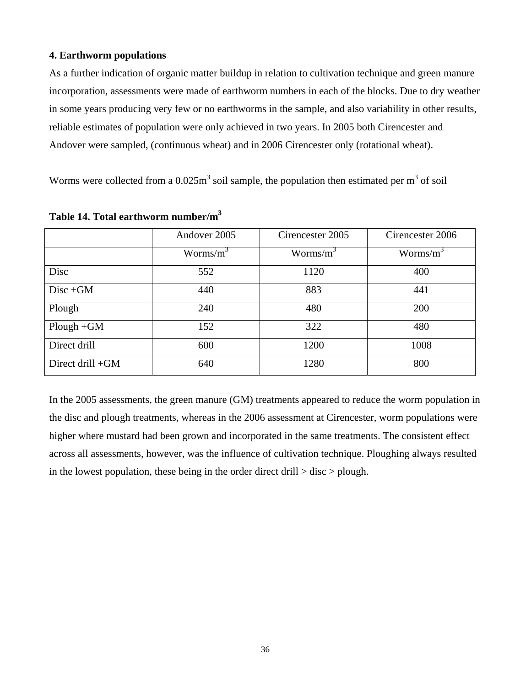### **4. Earthworm populations**

As a further indication of organic matter buildup in relation to cultivation technique and green manure incorporation, assessments were made of earthworm numbers in each of the blocks. Due to dry weather in some years producing very few or no earthworms in the sample, and also variability in other results, reliable estimates of population were only achieved in two years. In 2005 both Cirencester and Andover were sampled, (continuous wheat) and in 2006 Cirencester only (rotational wheat).

Worms were collected from a  $0.025m<sup>3</sup>$  soil sample, the population then estimated per m<sup>3</sup> of soil

|                  | Andover 2005 | Cirencester 2005 | Cirencester 2006 |
|------------------|--------------|------------------|------------------|
|                  | Worms/ $m^3$ | Worms/ $m^3$     | Worms/ $m^3$     |
| Disc             | 552          | 1120             | 400              |
| $Disc + GM$      | 440          | 883              | 441              |
| Plough           | 240          | 480              | 200              |
| $Plough + GM$    | 152          | 322              | 480              |
| Direct drill     | 600          | 1200             | 1008             |
| Direct drill +GM | 640          | 1280             | 800              |

**Table 14. Total earthworm number/m3** 

In the 2005 assessments, the green manure (GM) treatments appeared to reduce the worm population in the disc and plough treatments, whereas in the 2006 assessment at Cirencester, worm populations were higher where mustard had been grown and incorporated in the same treatments. The consistent effect across all assessments, however, was the influence of cultivation technique. Ploughing always resulted in the lowest population, these being in the order direct drill  $>$  disc  $>$  plough.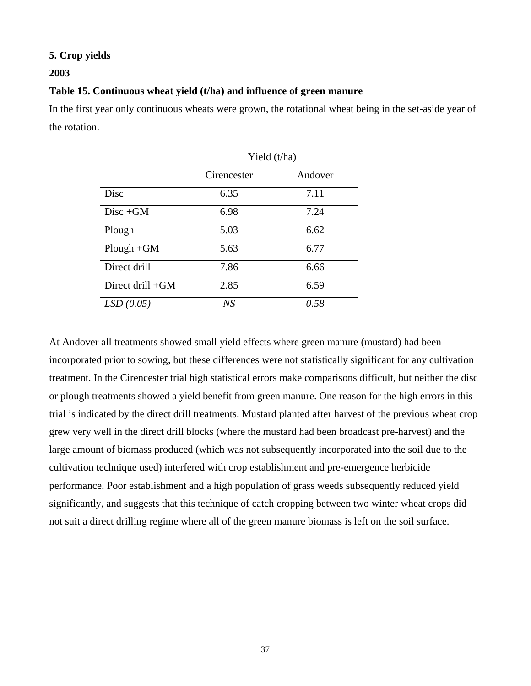## **5. Crop yields**

## **2003**

## **Table 15. Continuous wheat yield (t/ha) and influence of green manure**

In the first year only continuous wheats were grown, the rotational wheat being in the set-aside year of the rotation.

|                    | Yield (t/ha) |         |  |
|--------------------|--------------|---------|--|
|                    | Cirencester  | Andover |  |
| Disc               | 6.35         | 7.11    |  |
| $Disc + GM$        | 6.98         | 7.24    |  |
| Plough             | 5.03         | 6.62    |  |
| $Plough + GM$      | 5.63         | 6.77    |  |
| Direct drill       | 7.86         | 6.66    |  |
| Direct drill $+GM$ | 2.85         | 6.59    |  |
| LSD(0.05)          | NS           | 0.58    |  |

At Andover all treatments showed small yield effects where green manure (mustard) had been incorporated prior to sowing, but these differences were not statistically significant for any cultivation treatment. In the Cirencester trial high statistical errors make comparisons difficult, but neither the disc or plough treatments showed a yield benefit from green manure. One reason for the high errors in this trial is indicated by the direct drill treatments. Mustard planted after harvest of the previous wheat crop grew very well in the direct drill blocks (where the mustard had been broadcast pre-harvest) and the large amount of biomass produced (which was not subsequently incorporated into the soil due to the cultivation technique used) interfered with crop establishment and pre-emergence herbicide performance. Poor establishment and a high population of grass weeds subsequently reduced yield significantly, and suggests that this technique of catch cropping between two winter wheat crops did not suit a direct drilling regime where all of the green manure biomass is left on the soil surface.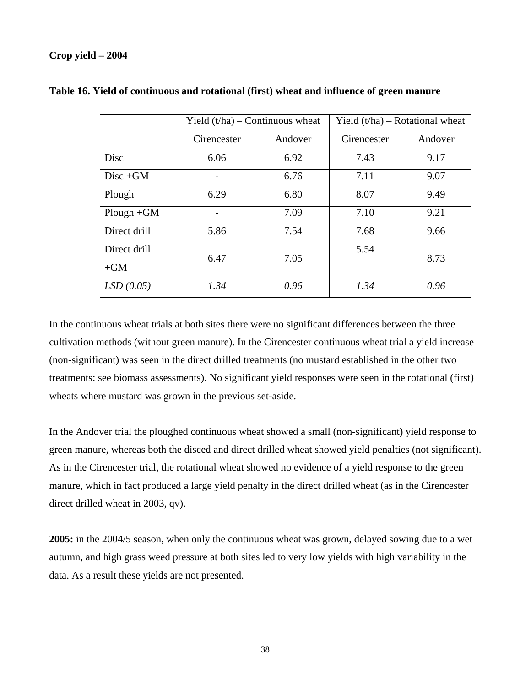## **Crop yield – 2004**

|               | Yield $(t/ha)$ – Continuous wheat |         | Yield $(t/ha)$ – Rotational wheat |         |
|---------------|-----------------------------------|---------|-----------------------------------|---------|
|               | Cirencester                       | Andover | Cirencester                       | Andover |
| Disc          | 6.06                              | 6.92    | 7.43                              | 9.17    |
| $Disc + GM$   |                                   | 6.76    | 7.11                              | 9.07    |
| Plough        | 6.29                              | 6.80    | 8.07                              | 9.49    |
| $Plough + GM$ |                                   | 7.09    | 7.10                              | 9.21    |
| Direct drill  | 5.86                              | 7.54    | 7.68                              | 9.66    |
| Direct drill  | 6.47                              | 7.05    | 5.54                              | 8.73    |
| $+GM$         |                                   |         |                                   |         |
| LSD(0.05)     | 1.34                              | 0.96    | 1.34                              | 0.96    |

### **Table 16. Yield of continuous and rotational (first) wheat and influence of green manure**

In the continuous wheat trials at both sites there were no significant differences between the three cultivation methods (without green manure). In the Cirencester continuous wheat trial a yield increase (non-significant) was seen in the direct drilled treatments (no mustard established in the other two treatments: see biomass assessments). No significant yield responses were seen in the rotational (first) wheats where mustard was grown in the previous set-aside.

In the Andover trial the ploughed continuous wheat showed a small (non-significant) yield response to green manure, whereas both the disced and direct drilled wheat showed yield penalties (not significant). As in the Cirencester trial, the rotational wheat showed no evidence of a yield response to the green manure, which in fact produced a large yield penalty in the direct drilled wheat (as in the Cirencester direct drilled wheat in 2003, qv).

**2005:** in the 2004/5 season, when only the continuous wheat was grown, delayed sowing due to a wet autumn, and high grass weed pressure at both sites led to very low yields with high variability in the data. As a result these yields are not presented.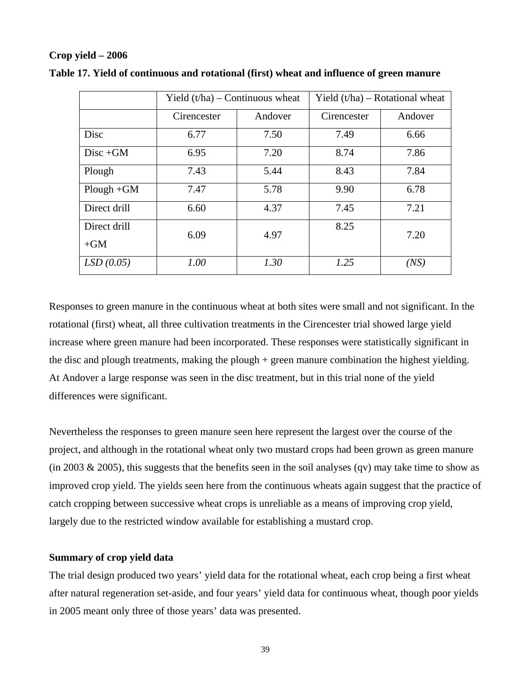### **Crop yield – 2006**

|               | Yield $(t/ha)$ – Continuous wheat |         | Yield $(t/ha)$ – Rotational wheat |         |
|---------------|-----------------------------------|---------|-----------------------------------|---------|
|               | Cirencester                       | Andover | Cirencester                       | Andover |
| Disc          | 6.77                              | 7.50    | 7.49                              | 6.66    |
| $Disc + GM$   | 6.95                              | 7.20    | 8.74                              | 7.86    |
| Plough        | 7.43                              | 5.44    | 8.43                              | 7.84    |
| $Plough + GM$ | 7.47                              | 5.78    | 9.90                              | 6.78    |
| Direct drill  | 6.60                              | 4.37    | 7.45                              | 7.21    |
| Direct drill  | 6.09                              | 4.97    | 8.25                              | 7.20    |
| $+GM$         |                                   |         |                                   |         |
| LSD(0.05)     | 1.00                              | 1.30    | 1.25                              | (NS)    |

**Table 17. Yield of continuous and rotational (first) wheat and influence of green manure** 

Responses to green manure in the continuous wheat at both sites were small and not significant. In the rotational (first) wheat, all three cultivation treatments in the Cirencester trial showed large yield increase where green manure had been incorporated. These responses were statistically significant in the disc and plough treatments, making the plough + green manure combination the highest yielding. At Andover a large response was seen in the disc treatment, but in this trial none of the yield differences were significant.

Nevertheless the responses to green manure seen here represent the largest over the course of the project, and although in the rotational wheat only two mustard crops had been grown as green manure (in 2003  $\&$  2005), this suggests that the benefits seen in the soil analyses (qv) may take time to show as improved crop yield. The yields seen here from the continuous wheats again suggest that the practice of catch cropping between successive wheat crops is unreliable as a means of improving crop yield, largely due to the restricted window available for establishing a mustard crop.

### **Summary of crop yield data**

The trial design produced two years' yield data for the rotational wheat, each crop being a first wheat after natural regeneration set-aside, and four years' yield data for continuous wheat, though poor yields in 2005 meant only three of those years' data was presented.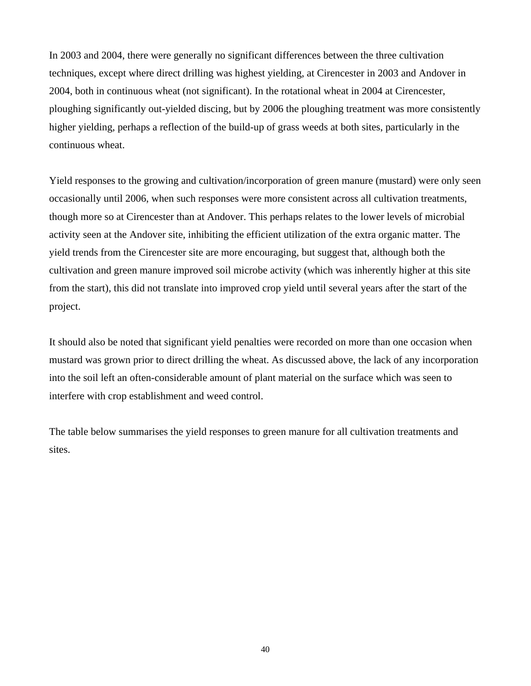In 2003 and 2004, there were generally no significant differences between the three cultivation techniques, except where direct drilling was highest yielding, at Cirencester in 2003 and Andover in 2004, both in continuous wheat (not significant). In the rotational wheat in 2004 at Cirencester, ploughing significantly out-yielded discing, but by 2006 the ploughing treatment was more consistently higher yielding, perhaps a reflection of the build-up of grass weeds at both sites, particularly in the continuous wheat.

Yield responses to the growing and cultivation/incorporation of green manure (mustard) were only seen occasionally until 2006, when such responses were more consistent across all cultivation treatments, though more so at Cirencester than at Andover. This perhaps relates to the lower levels of microbial activity seen at the Andover site, inhibiting the efficient utilization of the extra organic matter. The yield trends from the Cirencester site are more encouraging, but suggest that, although both the cultivation and green manure improved soil microbe activity (which was inherently higher at this site from the start), this did not translate into improved crop yield until several years after the start of the project.

It should also be noted that significant yield penalties were recorded on more than one occasion when mustard was grown prior to direct drilling the wheat. As discussed above, the lack of any incorporation into the soil left an often-considerable amount of plant material on the surface which was seen to interfere with crop establishment and weed control.

The table below summarises the yield responses to green manure for all cultivation treatments and sites.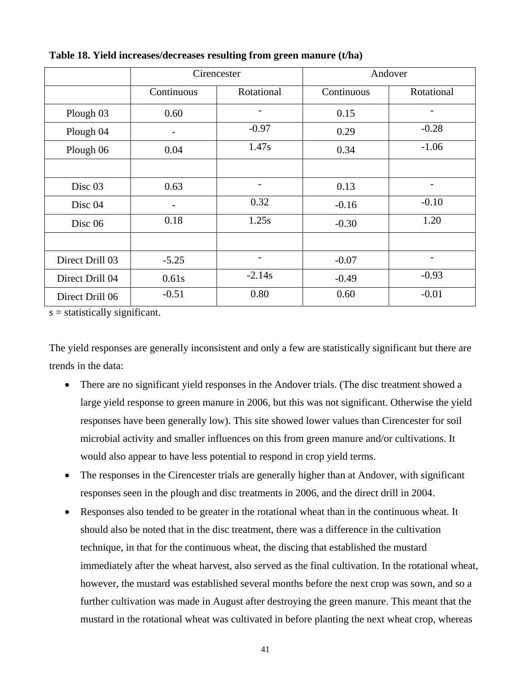|                    | Cirencester |                          | Andover    |                          |
|--------------------|-------------|--------------------------|------------|--------------------------|
|                    | Continuous  | Rotational               | Continuous | Rotational               |
| Plough 03          | 0.60        | $\overline{\phantom{0}}$ | 0.15       | $\overline{\phantom{a}}$ |
| Plough 04          |             | $-0.97$                  | 0.29       | $-0.28$                  |
| Plough 06          | 0.04        | 1.47s                    | 0.34       | $-1.06$                  |
|                    |             |                          |            |                          |
| Disc <sub>03</sub> | 0.63        |                          | 0.13       |                          |
| Disc 04            |             | 0.32                     | $-0.16$    | $-0.10$                  |
| Disc 06            | 0.18        | 1.25s                    | $-0.30$    | 1.20                     |
|                    |             |                          |            |                          |
| Direct Drill 03    | $-5.25$     | $\overline{\phantom{a}}$ | $-0.07$    | $\overline{\phantom{a}}$ |
| Direct Drill 04    | 0.61s       | $-2.14s$                 | $-0.49$    | $-0.93$                  |
| Direct Drill 06    | $-0.51$     | 0.80                     | 0.60       | $-0.01$                  |

**Table 18. Yield increases/decreases resulting from green manure (t/ha)** 

 $s =$  statistically significant.

The yield responses are generally inconsistent and only a few are statistically significant but there are trends in the data:

- There are no significant yield responses in the Andover trials. (The disc treatment showed a large yield response to green manure in 2006, but this was not significant. Otherwise the yield responses have been generally low). This site showed lower values than Cirencester for soil microbial activity and smaller influences on this from green manure and/or cultivations. It would also appear to have less potential to respond in crop yield terms.
- The responses in the Cirencester trials are generally higher than at Andover, with significant responses seen in the plough and disc treatments in 2006, and the direct drill in 2004.
- Responses also tended to be greater in the rotational wheat than in the continuous wheat. It should also be noted that in the disc treatment, there was a difference in the cultivation technique, in that for the continuous wheat, the discing that established the mustard immediately after the wheat harvest, also served as the final cultivation. In the rotational wheat, however, the mustard was established several months before the next crop was sown, and so a further cultivation was made in August after destroying the green manure. This meant that the mustard in the rotational wheat was cultivated in before planting the next wheat crop, whereas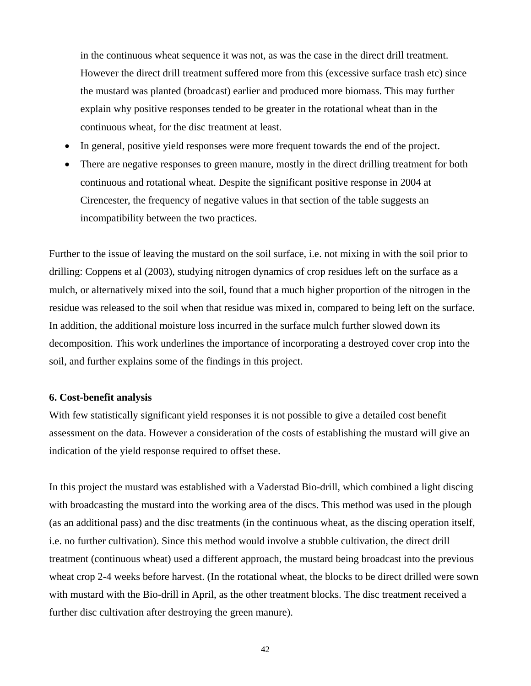in the continuous wheat sequence it was not, as was the case in the direct drill treatment. However the direct drill treatment suffered more from this (excessive surface trash etc) since the mustard was planted (broadcast) earlier and produced more biomass. This may further explain why positive responses tended to be greater in the rotational wheat than in the continuous wheat, for the disc treatment at least.

- In general, positive yield responses were more frequent towards the end of the project.
- There are negative responses to green manure, mostly in the direct drilling treatment for both continuous and rotational wheat. Despite the significant positive response in 2004 at Cirencester, the frequency of negative values in that section of the table suggests an incompatibility between the two practices.

Further to the issue of leaving the mustard on the soil surface, i.e. not mixing in with the soil prior to drilling: Coppens et al (2003), studying nitrogen dynamics of crop residues left on the surface as a mulch, or alternatively mixed into the soil, found that a much higher proportion of the nitrogen in the residue was released to the soil when that residue was mixed in, compared to being left on the surface. In addition, the additional moisture loss incurred in the surface mulch further slowed down its decomposition. This work underlines the importance of incorporating a destroyed cover crop into the soil, and further explains some of the findings in this project.

### **6. Cost-benefit analysis**

With few statistically significant yield responses it is not possible to give a detailed cost benefit assessment on the data. However a consideration of the costs of establishing the mustard will give an indication of the yield response required to offset these.

In this project the mustard was established with a Vaderstad Bio-drill, which combined a light discing with broadcasting the mustard into the working area of the discs. This method was used in the plough (as an additional pass) and the disc treatments (in the continuous wheat, as the discing operation itself, i.e. no further cultivation). Since this method would involve a stubble cultivation, the direct drill treatment (continuous wheat) used a different approach, the mustard being broadcast into the previous wheat crop 2-4 weeks before harvest. (In the rotational wheat, the blocks to be direct drilled were sown with mustard with the Bio-drill in April, as the other treatment blocks. The disc treatment received a further disc cultivation after destroying the green manure).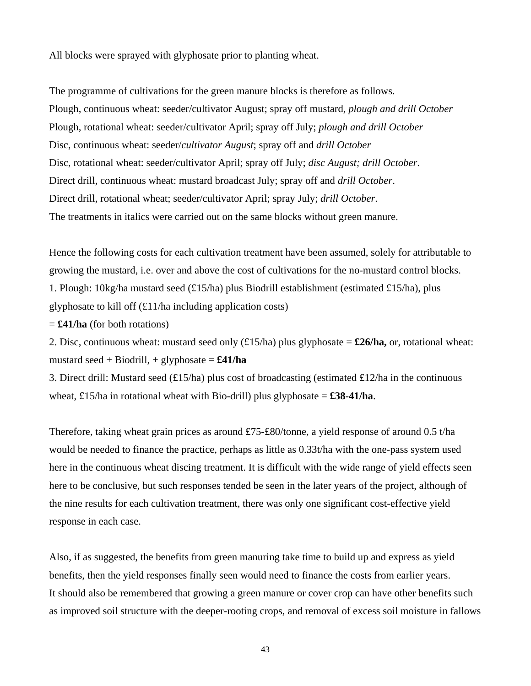All blocks were sprayed with glyphosate prior to planting wheat.

The programme of cultivations for the green manure blocks is therefore as follows. Plough, continuous wheat: seeder/cultivator August; spray off mustard, *plough and drill October* Plough, rotational wheat: seeder/cultivator April; spray off July; *plough and drill October* Disc, continuous wheat: seeder/*cultivator August*; spray off and *drill October* Disc, rotational wheat: seeder/cultivator April; spray off July; *disc August; drill October*. Direct drill, continuous wheat: mustard broadcast July; spray off and *drill October*. Direct drill, rotational wheat; seeder/cultivator April; spray July; *drill October*. The treatments in italics were carried out on the same blocks without green manure.

Hence the following costs for each cultivation treatment have been assumed, solely for attributable to growing the mustard, i.e. over and above the cost of cultivations for the no-mustard control blocks. 1. Plough: 10kg/ha mustard seed (£15/ha) plus Biodrill establishment (estimated £15/ha), plus glyphosate to kill off (£11/ha including application costs)

= **£41/ha** (for both rotations)

2. Disc, continuous wheat: mustard seed only (£15/ha) plus glyphosate = **£26/ha,** or, rotational wheat: mustard seed + Biodrill, + glyphosate =  $\pounds 41/ha$ 

3. Direct drill: Mustard seed (£15/ha) plus cost of broadcasting (estimated £12/ha in the continuous wheat, £15/ha in rotational wheat with Bio-drill) plus glyphosate  $= \pounds 38 - 41/ha$ .

Therefore, taking wheat grain prices as around £75-£80/tonne, a yield response of around 0.5 t/ha would be needed to finance the practice, perhaps as little as 0.33t/ha with the one-pass system used here in the continuous wheat discing treatment. It is difficult with the wide range of yield effects seen here to be conclusive, but such responses tended be seen in the later years of the project, although of the nine results for each cultivation treatment, there was only one significant cost-effective yield response in each case.

Also, if as suggested, the benefits from green manuring take time to build up and express as yield benefits, then the yield responses finally seen would need to finance the costs from earlier years. It should also be remembered that growing a green manure or cover crop can have other benefits such as improved soil structure with the deeper-rooting crops, and removal of excess soil moisture in fallows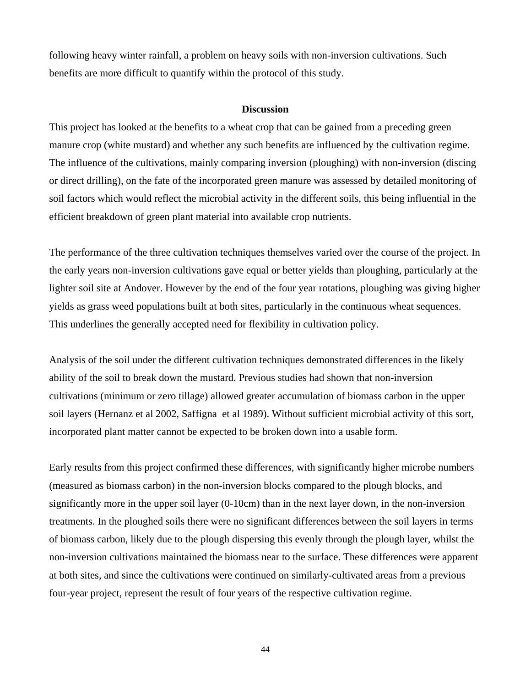following heavy winter rainfall, a problem on heavy soils with non-inversion cultivations. Such benefits are more difficult to quantify within the protocol of this study.

#### **Discussion**

This project has looked at the benefits to a wheat crop that can be gained from a preceding green manure crop (white mustard) and whether any such benefits are influenced by the cultivation regime. The influence of the cultivations, mainly comparing inversion (ploughing) with non-inversion (discing or direct drilling), on the fate of the incorporated green manure was assessed by detailed monitoring of soil factors which would reflect the microbial activity in the different soils, this being influential in the efficient breakdown of green plant material into available crop nutrients.

The performance of the three cultivation techniques themselves varied over the course of the project. In the early years non-inversion cultivations gave equal or better yields than ploughing, particularly at the lighter soil site at Andover. However by the end of the four year rotations, ploughing was giving higher yields as grass weed populations built at both sites, particularly in the continuous wheat sequences. This underlines the generally accepted need for flexibility in cultivation policy.

Analysis of the soil under the different cultivation techniques demonstrated differences in the likely ability of the soil to break down the mustard. Previous studies had shown that non-inversion cultivations (minimum or zero tillage) allowed greater accumulation of biomass carbon in the upper soil layers (Hernanz et al 2002, Saffigna et al 1989). Without sufficient microbial activity of this sort, incorporated plant matter cannot be expected to be broken down into a usable form.

Early results from this project confirmed these differences, with significantly higher microbe numbers (measured as biomass carbon) in the non-inversion blocks compared to the plough blocks, and significantly more in the upper soil layer (0-10cm) than in the next layer down, in the non-inversion treatments. In the ploughed soils there were no significant differences between the soil layers in terms of biomass carbon, likely due to the plough dispersing this evenly through the plough layer, whilst the non-inversion cultivations maintained the biomass near to the surface. These differences were apparent at both sites, and since the cultivations were continued on similarly-cultivated areas from a previous four-year project, represent the result of four years of the respective cultivation regime.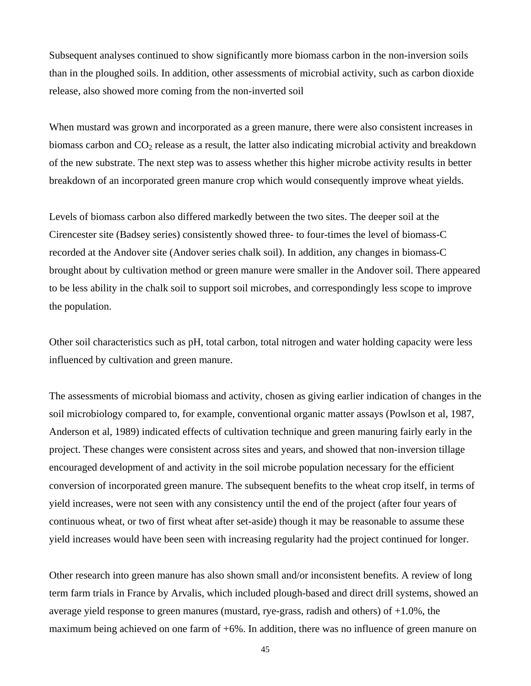Subsequent analyses continued to show significantly more biomass carbon in the non-inversion soils than in the ploughed soils. In addition, other assessments of microbial activity, such as carbon dioxide release, also showed more coming from the non-inverted soil

When mustard was grown and incorporated as a green manure, there were also consistent increases in biomass carbon and  $CO<sub>2</sub>$  release as a result, the latter also indicating microbial activity and breakdown of the new substrate. The next step was to assess whether this higher microbe activity results in better breakdown of an incorporated green manure crop which would consequently improve wheat yields.

Levels of biomass carbon also differed markedly between the two sites. The deeper soil at the Cirencester site (Badsey series) consistently showed three- to four-times the level of biomass-C recorded at the Andover site (Andover series chalk soil). In addition, any changes in biomass-C brought about by cultivation method or green manure were smaller in the Andover soil. There appeared to be less ability in the chalk soil to support soil microbes, and correspondingly less scope to improve the population.

Other soil characteristics such as pH, total carbon, total nitrogen and water holding capacity were less influenced by cultivation and green manure.

The assessments of microbial biomass and activity, chosen as giving earlier indication of changes in the soil microbiology compared to, for example, conventional organic matter assays (Powlson et al, 1987, Anderson et al, 1989) indicated effects of cultivation technique and green manuring fairly early in the project. These changes were consistent across sites and years, and showed that non-inversion tillage encouraged development of and activity in the soil microbe population necessary for the efficient conversion of incorporated green manure. The subsequent benefits to the wheat crop itself, in terms of yield increases, were not seen with any consistency until the end of the project (after four years of continuous wheat, or two of first wheat after set-aside) though it may be reasonable to assume these yield increases would have been seen with increasing regularity had the project continued for longer.

Other research into green manure has also shown small and/or inconsistent benefits. A review of long term farm trials in France by Arvalis, which included plough-based and direct drill systems, showed an average yield response to green manures (mustard, rye-grass, radish and others) of  $+1.0\%$ , the maximum being achieved on one farm of +6%. In addition, there was no influence of green manure on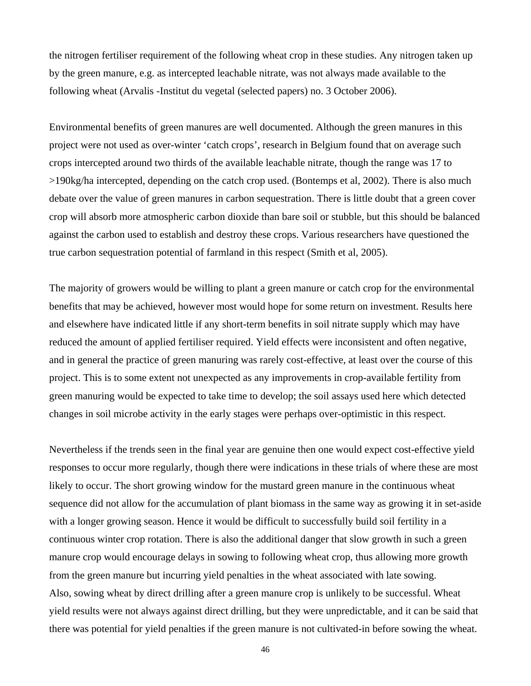the nitrogen fertiliser requirement of the following wheat crop in these studies. Any nitrogen taken up by the green manure, e.g. as intercepted leachable nitrate, was not always made available to the following wheat (Arvalis -Institut du vegetal (selected papers) no. 3 October 2006).

Environmental benefits of green manures are well documented. Although the green manures in this project were not used as over-winter 'catch crops', research in Belgium found that on average such crops intercepted around two thirds of the available leachable nitrate, though the range was 17 to >190kg/ha intercepted, depending on the catch crop used. (Bontemps et al, 2002). There is also much debate over the value of green manures in carbon sequestration. There is little doubt that a green cover crop will absorb more atmospheric carbon dioxide than bare soil or stubble, but this should be balanced against the carbon used to establish and destroy these crops. Various researchers have questioned the true carbon sequestration potential of farmland in this respect (Smith et al, 2005).

The majority of growers would be willing to plant a green manure or catch crop for the environmental benefits that may be achieved, however most would hope for some return on investment. Results here and elsewhere have indicated little if any short-term benefits in soil nitrate supply which may have reduced the amount of applied fertiliser required. Yield effects were inconsistent and often negative, and in general the practice of green manuring was rarely cost-effective, at least over the course of this project. This is to some extent not unexpected as any improvements in crop-available fertility from green manuring would be expected to take time to develop; the soil assays used here which detected changes in soil microbe activity in the early stages were perhaps over-optimistic in this respect.

Nevertheless if the trends seen in the final year are genuine then one would expect cost-effective yield responses to occur more regularly, though there were indications in these trials of where these are most likely to occur. The short growing window for the mustard green manure in the continuous wheat sequence did not allow for the accumulation of plant biomass in the same way as growing it in set-aside with a longer growing season. Hence it would be difficult to successfully build soil fertility in a continuous winter crop rotation. There is also the additional danger that slow growth in such a green manure crop would encourage delays in sowing to following wheat crop, thus allowing more growth from the green manure but incurring yield penalties in the wheat associated with late sowing. Also, sowing wheat by direct drilling after a green manure crop is unlikely to be successful. Wheat yield results were not always against direct drilling, but they were unpredictable, and it can be said that there was potential for yield penalties if the green manure is not cultivated-in before sowing the wheat.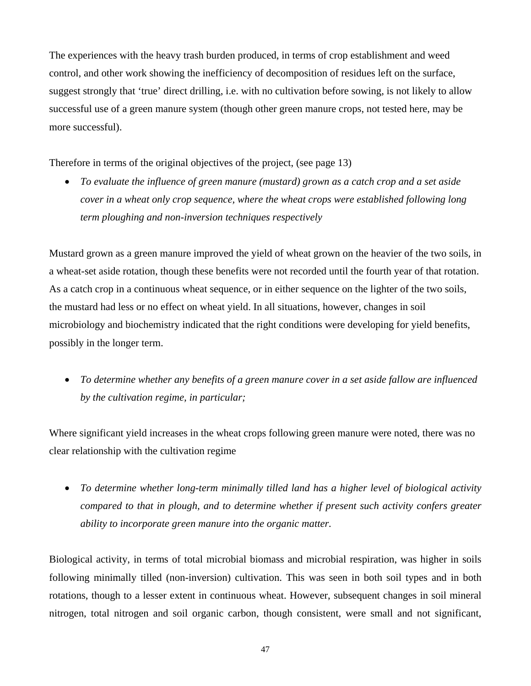The experiences with the heavy trash burden produced, in terms of crop establishment and weed control, and other work showing the inefficiency of decomposition of residues left on the surface, suggest strongly that 'true' direct drilling, i.e. with no cultivation before sowing, is not likely to allow successful use of a green manure system (though other green manure crops, not tested here, may be more successful).

Therefore in terms of the original objectives of the project, (see page 13)

• *To evaluate the influence of green manure (mustard) grown as a catch crop and a set aside cover in a wheat only crop sequence, where the wheat crops were established following long term ploughing and non-inversion techniques respectively* 

Mustard grown as a green manure improved the yield of wheat grown on the heavier of the two soils, in a wheat-set aside rotation, though these benefits were not recorded until the fourth year of that rotation. As a catch crop in a continuous wheat sequence, or in either sequence on the lighter of the two soils, the mustard had less or no effect on wheat yield. In all situations, however, changes in soil microbiology and biochemistry indicated that the right conditions were developing for yield benefits, possibly in the longer term.

• *To determine whether any benefits of a green manure cover in a set aside fallow are influenced by the cultivation regime, in particular;* 

Where significant yield increases in the wheat crops following green manure were noted, there was no clear relationship with the cultivation regime

• *To determine whether long-term minimally tilled land has a higher level of biological activity compared to that in plough, and to determine whether if present such activity confers greater ability to incorporate green manure into the organic matter.* 

Biological activity, in terms of total microbial biomass and microbial respiration, was higher in soils following minimally tilled (non-inversion) cultivation. This was seen in both soil types and in both rotations, though to a lesser extent in continuous wheat. However, subsequent changes in soil mineral nitrogen, total nitrogen and soil organic carbon, though consistent, were small and not significant,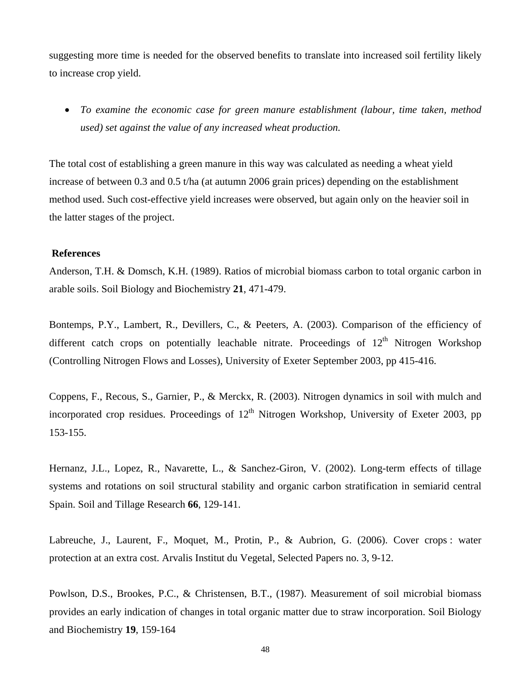suggesting more time is needed for the observed benefits to translate into increased soil fertility likely to increase crop yield.

• *To examine the economic case for green manure establishment (labour, time taken, method used) set against the value of any increased wheat production.* 

The total cost of establishing a green manure in this way was calculated as needing a wheat yield increase of between 0.3 and 0.5 t/ha (at autumn 2006 grain prices) depending on the establishment method used. Such cost-effective yield increases were observed, but again only on the heavier soil in the latter stages of the project.

### **References**

Anderson, T.H. & Domsch, K.H. (1989). Ratios of microbial biomass carbon to total organic carbon in arable soils. Soil Biology and Biochemistry **21**, 471-479.

Bontemps, P.Y., Lambert, R., Devillers, C., & Peeters, A. (2003). Comparison of the efficiency of different catch crops on potentially leachable nitrate. Proceedings of  $12<sup>th</sup>$  Nitrogen Workshop (Controlling Nitrogen Flows and Losses), University of Exeter September 2003, pp 415-416.

Coppens, F., Recous, S., Garnier, P., & Merckx, R. (2003). Nitrogen dynamics in soil with mulch and incorporated crop residues. Proceedings of  $12<sup>th</sup>$  Nitrogen Workshop, University of Exeter 2003, pp 153-155.

Hernanz, J.L., Lopez, R., Navarette, L., & Sanchez-Giron, V. (2002). Long-term effects of tillage systems and rotations on soil structural stability and organic carbon stratification in semiarid central Spain. Soil and Tillage Research **66**, 129-141.

Labreuche, J., Laurent, F., Moquet, M., Protin, P., & Aubrion, G. (2006). Cover crops : water protection at an extra cost. Arvalis Institut du Vegetal, Selected Papers no. 3, 9-12.

Powlson, D.S., Brookes, P.C., & Christensen, B.T., (1987). Measurement of soil microbial biomass provides an early indication of changes in total organic matter due to straw incorporation. Soil Biology and Biochemistry **19**, 159-164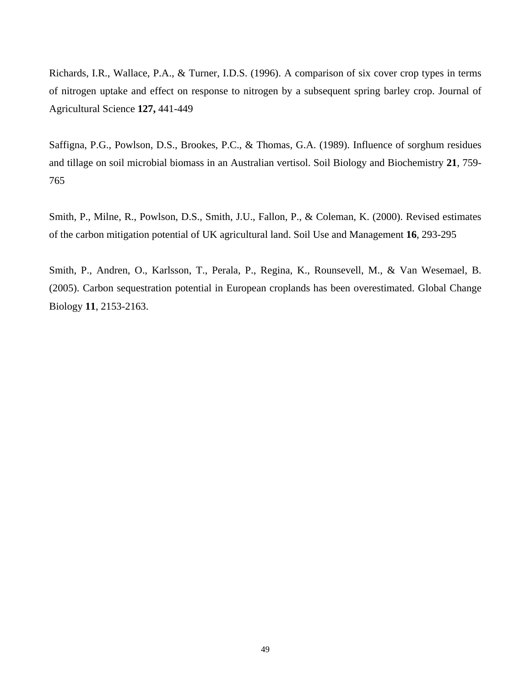Richards, I.R., Wallace, P.A., & Turner, I.D.S. (1996). A comparison of six cover crop types in terms of nitrogen uptake and effect on response to nitrogen by a subsequent spring barley crop. Journal of Agricultural Science **127,** 441-449

Saffigna, P.G., Powlson, D.S., Brookes, P.C., & Thomas, G.A. (1989). Influence of sorghum residues and tillage on soil microbial biomass in an Australian vertisol. Soil Biology and Biochemistry **21**, 759- 765

Smith, P., Milne, R., Powlson, D.S., Smith, J.U., Fallon, P., & Coleman, K. (2000). Revised estimates of the carbon mitigation potential of UK agricultural land. Soil Use and Management **16**, 293-295

Smith, P., Andren, O., Karlsson, T., Perala, P., Regina, K., Rounsevell, M., & Van Wesemael, B. (2005). Carbon sequestration potential in European croplands has been overestimated. Global Change Biology **11**, 2153-2163.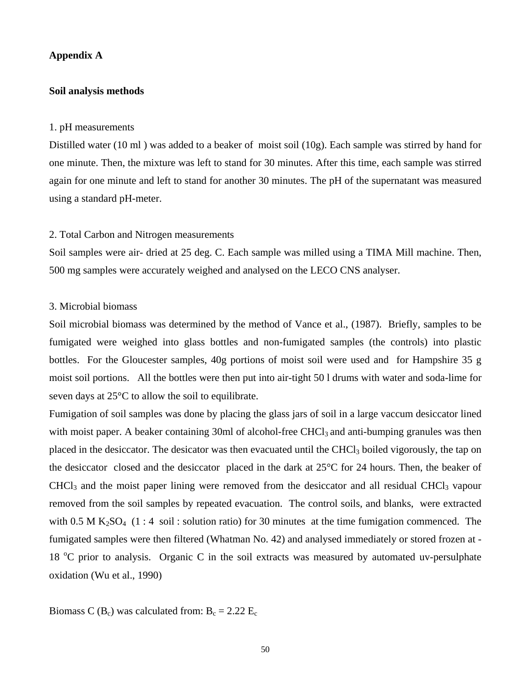### **Appendix A**

### **Soil analysis methods**

#### 1. pH measurements

Distilled water (10 ml ) was added to a beaker of moist soil (10g). Each sample was stirred by hand for one minute. Then, the mixture was left to stand for 30 minutes. After this time, each sample was stirred again for one minute and left to stand for another 30 minutes. The pH of the supernatant was measured using a standard pH-meter.

### 2. Total Carbon and Nitrogen measurements

Soil samples were air- dried at 25 deg. C. Each sample was milled using a TIMA Mill machine. Then, 500 mg samples were accurately weighed and analysed on the LECO CNS analyser.

### 3. Microbial biomass

Soil microbial biomass was determined by the method of Vance et al., (1987). Briefly, samples to be fumigated were weighed into glass bottles and non-fumigated samples (the controls) into plastic bottles. For the Gloucester samples, 40g portions of moist soil were used and for Hampshire 35 g moist soil portions. All the bottles were then put into air-tight 50 l drums with water and soda-lime for seven days at 25°C to allow the soil to equilibrate.

Fumigation of soil samples was done by placing the glass jars of soil in a large vaccum desiccator lined with moist paper. A beaker containing 30ml of alcohol-free CHCl<sub>3</sub> and anti-bumping granules was then placed in the desiccator. The desicator was then evacuated until the CHCl<sub>3</sub> boiled vigorously, the tap on the desiccator closed and the desiccator placed in the dark at 25°C for 24 hours. Then, the beaker of CHCl3 and the moist paper lining were removed from the desiccator and all residual CHCl3 vapour removed from the soil samples by repeated evacuation. The control soils, and blanks, were extracted with 0.5 M K<sub>2</sub>SO<sub>4</sub> (1 : 4 soil : solution ratio) for 30 minutes at the time fumigation commenced. The fumigated samples were then filtered (Whatman No. 42) and analysed immediately or stored frozen at - 18 °C prior to analysis. Organic C in the soil extracts was measured by automated uv-persulphate oxidation (Wu et al., 1990)

Biomass C ( $B_c$ ) was calculated from:  $B_c = 2.22$   $E_c$